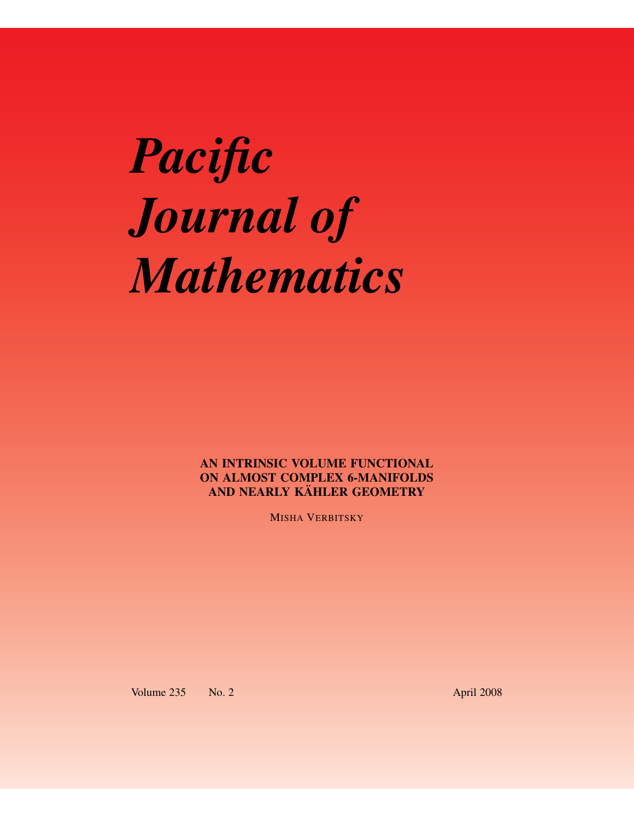# *Pacific Journal of Mathematics*

AN INTRINSIC VOLUME FUNCTIONAL ON ALMOST COMPLEX 6-MANIFOLDS AND NEARLY KÄHLER GEOMETRY

MISHA VERBITSKY

Volume 235 No. 2 April 2008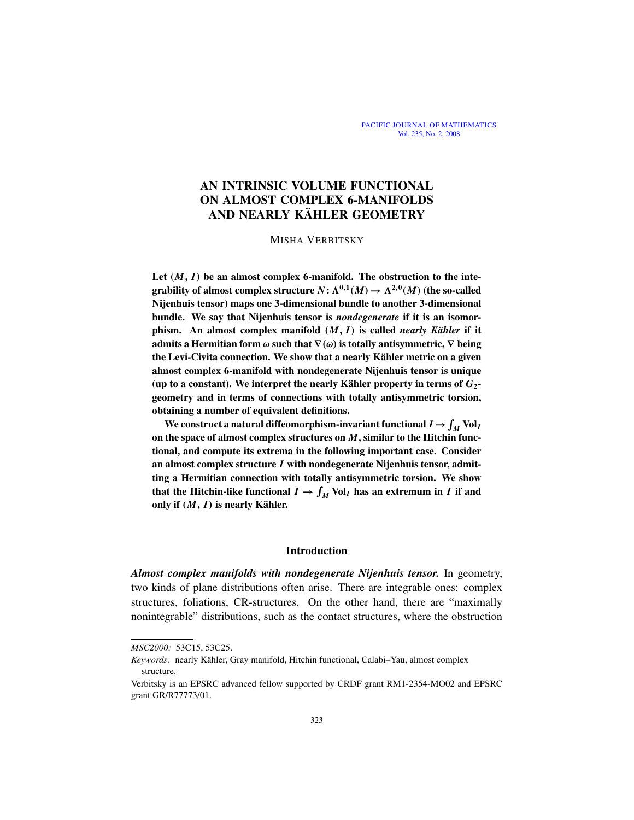# AN INTRINSIC VOLUME FUNCTIONAL ON ALMOST COMPLEX 6-MANIFOLDS AND NEARLY KÄHLER GEOMETRY

## MISHA VERBITSKY

Let  $(M, I)$  be an almost complex 6-manifold. The obstruction to the integrability of almost complex structure  $N: \Lambda^{0,1}(M) \to \Lambda^{2,0}(M)$  (the so-called Nijenhuis tensor) maps one 3-dimensional bundle to another 3-dimensional bundle. We say that Nijenhuis tensor is *nondegenerate* if it is an isomorphism. An almost complex manifold (*M*, *I*) is called *nearly Kähler* if it admits a Hermitian form  $\omega$  such that  $\nabla(\omega)$  is totally antisymmetric,  $\nabla$  being the Levi-Civita connection. We show that a nearly Kähler metric on a given almost complex 6-manifold with nondegenerate Nijenhuis tensor is unique (up to a constant). We interpret the nearly Kähler property in terms of  $G_2$ geometry and in terms of connections with totally antisymmetric torsion, obtaining a number of equivalent definitions.

We construct a natural diffeomorphism-invariant functional  $I \to \int_M \text{Vol}_I$ on the space of almost complex structures on *M*, similar to the Hitchin functional, and compute its extrema in the following important case. Consider an almost complex structure *I* with nondegenerate Nijenhuis tensor, admitting a Hermitian connection with totally antisymmetric torsion. We show that the Hitchin-like functional  $I \to \int_M \text{Vol}_I$  has an extremum in *I* if and only if (*M*, *I*) is nearly Kähler.

## Introduction

*Almost complex manifolds with nondegenerate Nijenhuis tensor.* In geometry, two kinds of plane distributions often arise. There are integrable ones: complex structures, foliations, CR-structures. On the other hand, there are "maximally nonintegrable" distributions, such as the contact structures, where the obstruction

*MSC2000:* 53C15, 53C25.

*Keywords:* nearly Kähler, Gray manifold, Hitchin functional, Calabi–Yau, almost complex structure.

Verbitsky is an EPSRC advanced fellow supported by CRDF grant RM1-2354-MO02 and EPSRC grant GR/R77773/01.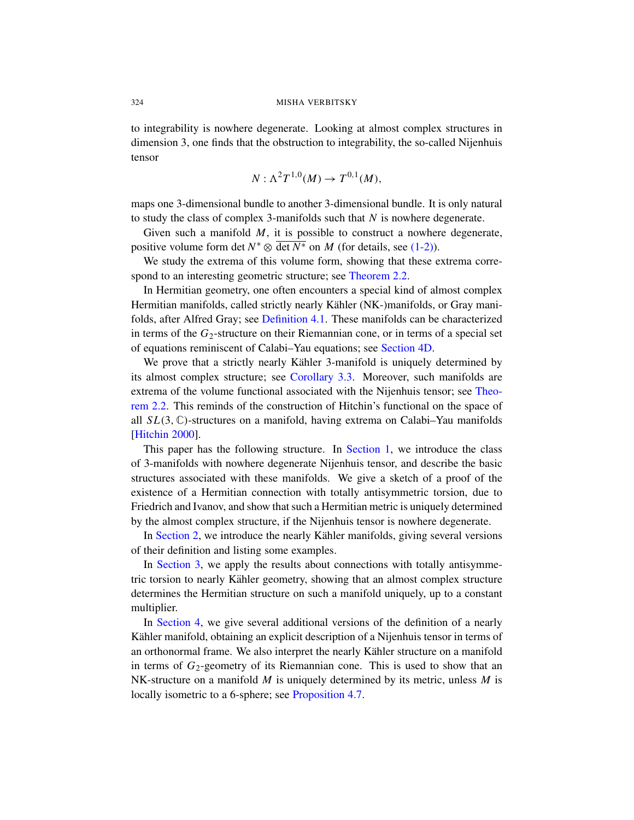to integrability is nowhere degenerate. Looking at almost complex structures in dimension 3, one finds that the obstruction to integrability, the so-called Nijenhuis tensor

$$
N: \Lambda^2 T^{1,0}(M) \to T^{0,1}(M),
$$

maps one 3-dimensional b[undle to anoth](#page-11-0)er 3-dimensional bundle. It is only natural to study the class of complex 3-manifolds such that *N* is nowhere degenerate.

Given such a manifold *M*, it is possible to construct a nowhere degenerate, positiv[e volume form](#page-13-0) det  $N^* \otimes \overline{\det N^*}$  on *M* (for details, see (1-2)).

We study the extrema of this volume form, showing that these extrema correspond to an interesting geometri[c structure; s](#page-16-0)ee Theorem 2.2.

In Hermitian geometry, one often encounters a special kind of almost complex Hermitian m[anifolds, called](#page-12-0) strictly nearly Kähler (NK-)manifolds, or Gray manifolds, after Alfred Gray; see Definition 4.1. These ma[nifolds](#page-11-0) can be characterized in terms of the *G*2-structure on their Riemannian cone, or in terms of a special set of equations reminiscent of Calabi–Yau equations; see Section 4D.

We prove that a strictly nearly Kähler 3-manifold is uniquely determined by its almost complex struc[ture; see](#page-3-1) Corollary 3.3. Moreover, such manifolds are extrema of the volume functional associated with the Nijenhuis tensor; see Theorem 2.2. This reminds of the construction of Hitchin's functional on the space of all *SL*(3, C)-structures on a manifold, having extrema on Calabi–Yau manifolds [Hitchin 2000].

This paper has the following structure. In Section 1, we introduce the class of 3-manifolds with nowhere degenerate Nijenhuis tensor, and describe the basic structures associated with these manifolds. We give a sketch of a proof of the existence of a Hermitian connection with totally antisymmetric torsion, due to Friedrich and Ivanov, and show that such a Hermitian metric is uniquely determined by the almost complex structure, if the Nijenhuis tensor is nowhere degenerate.

In Section 2, we introduce the nearly Kähler manifolds, giving several versions of their definition and listing some examples.

In Section 3, we apply the results about connections with totally antisymmetric torsion to nearly Kähler geometry, showing that an almost complex structure determines the Hermitian structure on such a manifold uniquely, up to a constant multiplier.

In Section [4, we give seve](#page-17-0)ral additional versions of the definition of a nearly Kähler manifold, obtaining an explicit description of a Nijenhuis tensor in terms of an orthonormal frame. We also interpret the nearly Kähler structure on a manifold in terms of  $G_2$ -geometry of its Riemannian cone. This is used to show that an NK-structure on a manifold *M* is uniquely determined by its metric, unless *M* is locally isometric to a 6-sphere; see Proposition 4.7.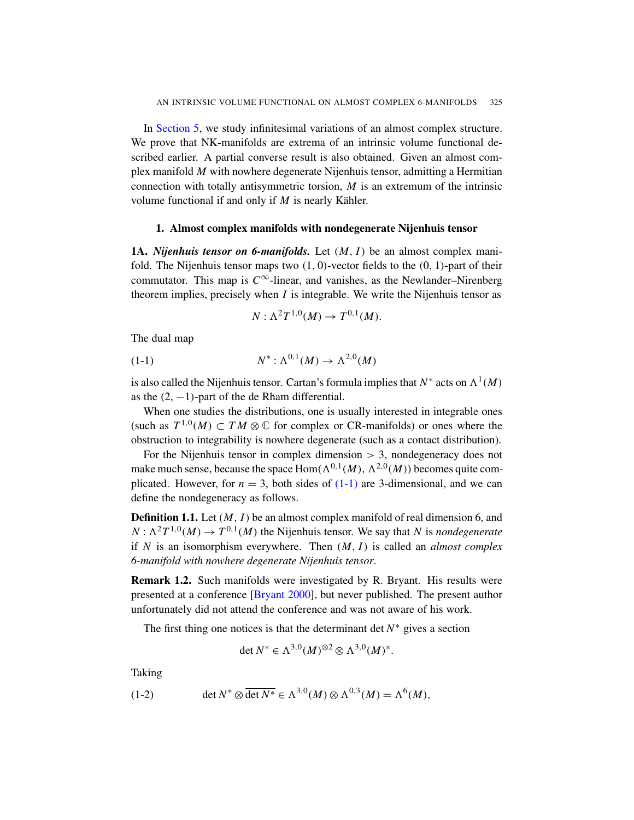<span id="page-3-3"></span><span id="page-3-1"></span>In Section 5, we study infinitesimal variations of an almost complex structure. We prove that NK-manifolds are extrema of an intrinsic volume functional described earlier. A partial converse result is also obtained. Given an almost complex manifold *M* with nowhere degenerate Nijenhuis tensor, admitting a Hermitian connection with totally antisymmetric torsion, *M* is an extremum of the intrinsic volume functional if and only if  $M$  is nearly Kähler.

## 1. Almost complex manifolds with nondegenerate Nijenhuis tensor

<span id="page-3-2"></span>1A. *Nijenhuis tensor on 6-manifolds.* Let (*M*, *I*) be an almost complex manifold. The Nijenhuis tensor maps two  $(1, 0)$ -vector fields to the  $(0, 1)$ -part of their commutator. This map is  $C^{\infty}$ -linear, and vanishes, as the Newlander–Nirenberg theorem implies, precisely when *I* is integrable. We write the Nijenhuis tensor as

$$
N:\Lambda^2T^{1,0}(M)\to T^{0,1}(M).
$$

The dual map

$$
(1-1) \tN^* : \Lambda^{0,1}(M) \to \Lambda^{2,0}(M)
$$

is also called the Nijenhuis tensor. Cartan's formula implies that  $N^*$  acts on  $\Lambda^1(M)$ as the  $(2, -1)$ -part of the de Rham differential.

When one studies t[he dist](#page-3-2)ributions, one is usually interested in integrable ones (such as  $T^{1,0}(M) \subset TM \otimes \mathbb{C}$  for complex or CR-manifolds) or ones where the obstruction to integrability is nowhere degenerate (such as a contact distribution).

For the Nijenhuis tensor in complex dimension  $> 3$ , nondegeneracy does not make much sense, because the space  $\text{Hom}(\Lambda^{0,1}(M), \Lambda^{2,0}(M))$  becomes quite complicated. However, for  $n = 3$ , both sides of  $(1-1)$  are 3-dimensional, and we can define the nondegeneracy as follows.

Defi[nition 1.1.](#page-20-0) Let (*M*, *I*) be an almost complex manifold of real dimension 6, and  $N: \Lambda^2 T^{1,0}(M) \to T^{0,1}(M)$  the Nijenhuis tensor. We say that *N* is *nondegenerate* if *N* is an isomorphism everywhere. Then (*M*, *I*) is called an *almost complex 6-manifold with nowhere degenerate Nijenhuis tensor*.

<span id="page-3-0"></span>Remark 1.2. Such manifolds were investigated by R. Bryant. His results were presented at a conference [Bryant 2000], but never published. The present author unfortunately did not attend the conference and was not aware of his work.

The first thing one notices is that the determinant det  $N^*$  gives a section

$$
\det N^* \in \Lambda^{3,0}(M)^{\otimes 2} \otimes \Lambda^{3,0}(M)^*.
$$

Taking

(1-2) 
$$
\det N^* \otimes \overline{\det N^*} \in \Lambda^{3,0}(M) \otimes \Lambda^{0,3}(M) = \Lambda^6(M),
$$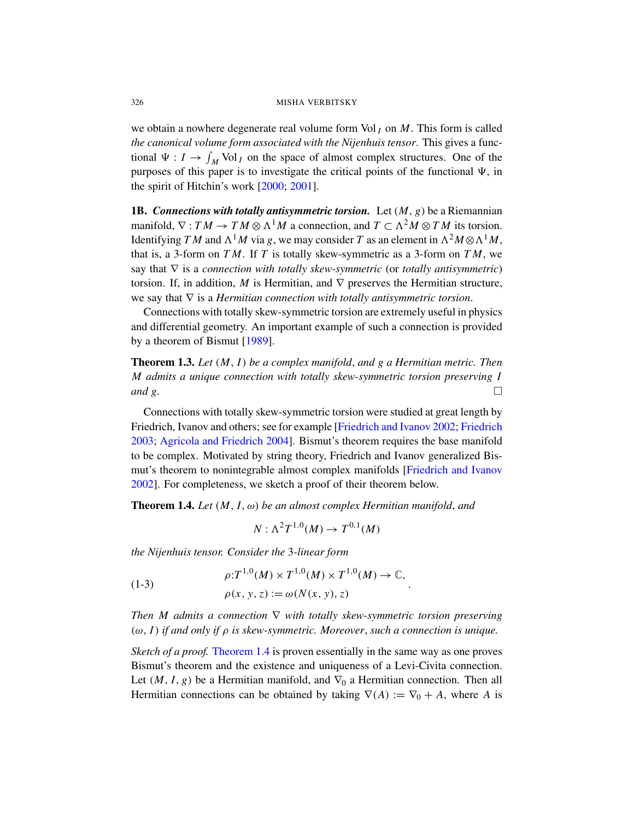we obtain a nowhere degenerate real volume form Vol  $<sub>I</sub>$  on  $M$ . This form is called</sub> *the canonical volume form associated with the Nijenhuis tensor*. This gives a functional  $\Psi : I \to \int_M \text{Vol}_I$  on the space of almost complex structures. One of the purposes of this paper is to investigate the critical points of the functional  $\Psi$ , in the spirit of Hitchin's work [2000; 2001].

1B. *Connections with totally antisymmetric torsion.* Let (*M*, *g*) be a Riemannian manifold,  $\nabla : TM \to TM \otimes \Lambda^1 M$  a connection, and  $T \subset \Lambda^2 M \otimes TM$  its torsion. Identifying *TM* and  $\Lambda^1 M$  via *g*, we may consider *T* as an element in  $\Lambda^2 M \otimes \Lambda^1 M$ , that is, a 3-form on *T M*. If *T* is totally skew-symmetric as a 3-form on *T M*, we sa[y that](#page-20-1) ∇ is a *connection with totally skew-symmetric* (or *totally antisymmetric*) torsion. If, in addition, *M* is Hermitian, and  $\nabla$  preserves the Hermitian structure, we say that ∇ is a *Hermitian connection with totally antisymmetric torsion*.

Connections with totally skew-symmetric torsion are extremely useful in physics and differential geometry. An important example of such a connection is provided by a theorem of Bismut [1989].

[Theorem 1.3](#page-20-2). *Let* (*M*, *I*) *[be a complex manifold](#page-21-2)*, *[and g a He](#page-21-3)rmitian metric. Then M admits a unique connection with totally skew-symmetric torsion preserving I and g.*

<span id="page-4-0"></span>Connections with totally skew-symmetric torsion were studied at great length by Friedrich, Ivanov and others; see for example [Friedrich and Ivanov 2002; Friedrich 2003; Agricola and Friedrich 2004]. Bismut's theorem requires the base manifold to be complex. Motivated by string theory, Friedrich and Ivanov generalized Bismut's theorem to nonintegrable almost complex manifolds [Friedrich and Ivanov 2002]. For completeness, we sketch a proof of their theorem below.

Theorem 1.4. *Let* (*M*, *I*, ω) *be an almost complex Hermitian manifold*, *and*

<span id="page-4-1"></span>
$$
N:\Lambda^2T^{1,0}(M)\to T^{0,1}(M)
$$

*the Nijenhuis tensor. Consider the* 3*-linear form*

(1-3)  
\n
$$
\rho: T^{1,0}(M) \times T^{1,0}(M) \times T^{1,0}(M) \to \mathbb{C},
$$
\n
$$
\rho(x, y, z) := \omega(N(x, y), z)
$$

*Then M admits a connection* ∇ *with totally skew-symmetric torsion preserving* (ω, *I*) *if and only if* ρ *is skew-symmetric. Moreover*, *such a connection is unique.*

.

*Sketch of a proof.* Theorem 1.4 is proven essentially in the same way as one proves Bismut's theorem and the existence and uniqueness of a Levi-Civita connection. Let  $(M, I, g)$  be a Hermitian manifold, and  $\nabla_0$  a Hermitian connection. Then all Hermitian connections can be obtained by taking  $\nabla(A) := \nabla_0 + A$ , where *A* is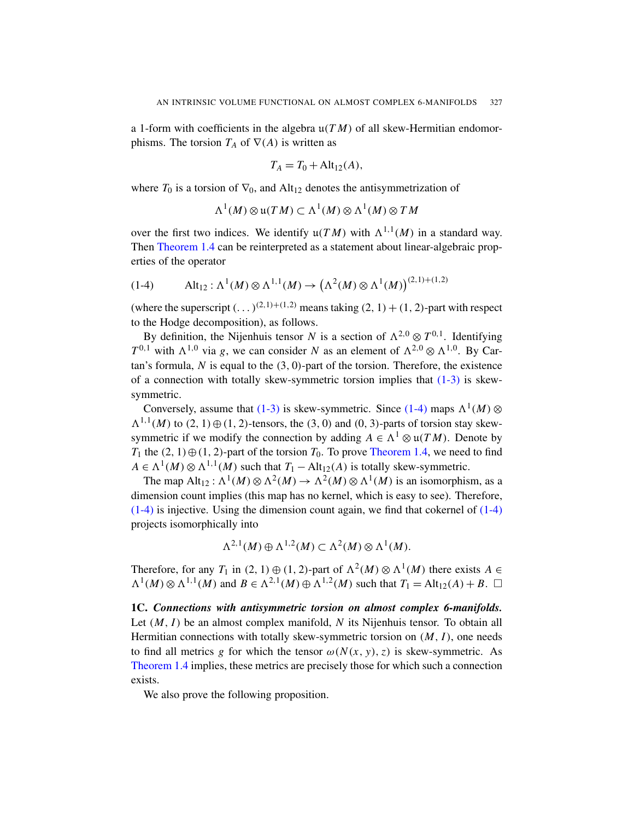a 1-form with coefficients in the algebra  $u(TM)$  of all skew-Hermitian endomorphisms. The torsion  $T_A$  of  $\nabla(A)$  is written as

$$
T_A = T_0 + Alt_{12}(A),
$$

<span id="page-5-0"></span>where  $T_0$  is a torsion of  $\nabla_0$ , and Alt<sub>12</sub> denotes the antisymmetrization of

$$
\Lambda^1(M) \otimes \mathfrak{u}(TM) \subset \Lambda^1(M) \otimes \Lambda^1(M) \otimes TM
$$

over the first two indices. We identify  $\mathfrak{u}(TM)$  with  $\Lambda^{1,1}(M)$  in a standard way. Then Theorem 1.4 can be reinterpreted as a statement about linear-algebraic properties of the operator

(1-4) 
$$
\text{Alt}_{12}: \Lambda^1(M) \otimes \Lambda^{1,1}(M) \to (\Lambda^2(M) \otimes \Lambda^1(M))^{(2,1)+(1,2)}
$$

(where the superscript  $(\dots)^{(2,1)+(1,2)}$  means t[aking](#page-4-1)  $(2, 1) + (1, 2)$ -part with respect to the Hodge decomposition), as follows.

By [defin](#page-4-1)ition, the Nijenhu[is](#page-5-0) tensor *N* is a section of  $\Lambda^{2,0} \otimes T^{0,1}$ . Identifying  $T^{0,1}$  with  $\Lambda^{1,0}$  via *g*, we can consider *N* as an element of  $\Lambda^{2,0} \otimes \Lambda^{1,0}$ . By Cartan's formula, *N* is equal to the (3, 0)-part of the torsion. Therefore, the existence of a connection with totally s[kew-symmetr](#page-4-0)ic torsion implies that  $(1-3)$  is skewsymmetric.

Conversely, assume that  $(1-3)$  is skew-symmetric. Since  $(1-4)$  maps  $\Lambda^1(M)$  ⊗  $\Lambda^{1,1}(M)$  to  $(2, 1) \oplus (1, 2)$ -tensors, the  $(3, 0)$  and  $(0, 3)$ -parts of torsion stay skewsymmetric if we modify the connection by adding  $A \in \Lambda^1 \otimes \mathfrak{u}(TM)$ . Denote by *T*<sub>1</sub> the  $(2, 1) \oplus (1, 2)$ -part of the torsion *T*<sub>0</sub>. To prove Theorem 1.4, we need to find  $A \in \Lambda^1(M) \otimes \Lambda^{1,1}(M)$  such that  $T_1 - Alt_{12}(A)$  is totally skew-symmetric.

The map  $Alt_{12}: \Lambda^1(M) \otimes \Lambda^2(M) \to \Lambda^2(M) \otimes \Lambda^1(M)$  is an isomorphism, as a dimension count implies (this map has no kernel, which is easy to see). Therefore, (1-4) is injective. Using the dimension count again, we find that cokernel of (1-4) projects isomorphically into

$$
\Lambda^{2,1}(M) \oplus \Lambda^{1,2}(M) \subset \Lambda^2(M) \otimes \Lambda^1(M).
$$

Therefore, for any *T*<sub>1</sub> in  $(2, 1) \oplus (1, 2)$ -part of  $\Lambda^2(M) \otimes \Lambda^1(M)$  there exists  $A \in$  $\Lambda^1(M) \otimes \Lambda^{1,1}(M)$  and  $B \in \Lambda^{2,1}(M) \oplus \Lambda^{1,2}(M)$  such that  $T_1 = \text{Alt}_{12}(A) + B$ .  $\Box$ 

1C. *Connections with antisymmetric torsion on almost complex 6-manifolds.* Let (*M*, *I*) be an almost complex manifold, *N* its Nijenhuis tensor. To obtain all Hermitian connections with totally skew-symmetric torsion on (*M*, *I*), one needs to find all metrics *g* for which the tensor  $\omega(N(x, y), z)$  is skew-symmetric. As Theorem 1.4 implies, these metrics are precisely those for which such a connection exists.

We also prove the following proposition.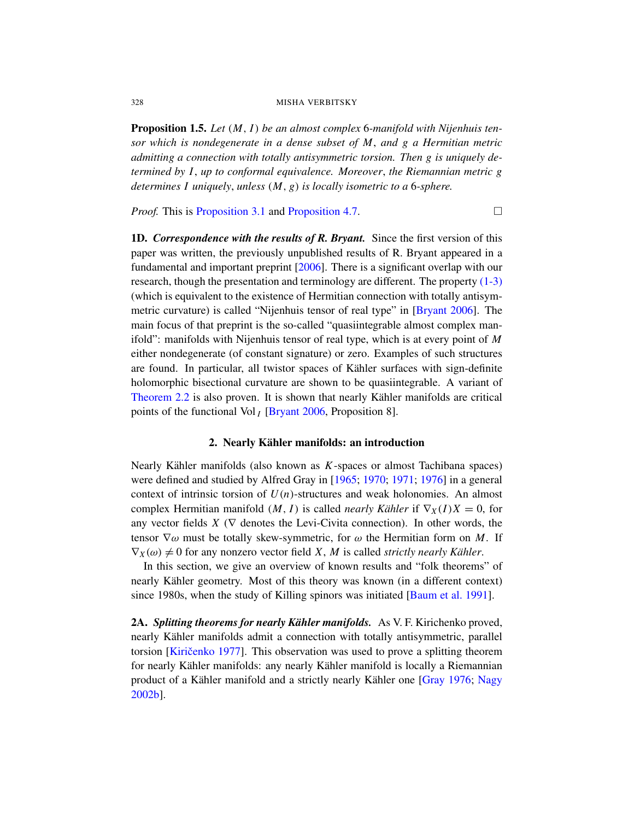Proposition 1.5. *Let* (*M*, *I*) *be an almost complex* 6*-manifold with Nijenhuis ten[sor whic](#page-12-1)h i[s nondegenerate](#page-17-0) in a dense subset of M*, *and g a Hermitian metric admitting a connection with totally antisymmetric torsion. Then g is uniquely determined by I*, *up to conformal equivalence. Moreover*, *the Riemannian metric g determines I u[niquel](#page-20-3)y*, *unless* (*M*, *g*) *is locally isometric to a* 6*-sphere.*

*Proof.* This is Proposition 3.1 and Proposition 4.7.

1D. *Correspondence with the results of [R. Bryant.](#page-20-3)* Since the first version of this paper was written, the previously unpublished results of R. Bryant appeared in a fundamental and important preprint [2006]. There is a significant overlap with our research, though the presentation and terminology are different. The property (1-3) (which is equivalent to the existence of Hermitian connection with totally antisymmetric curvature) is called "Nijenhuis tensor of real type" in [Bryant 2006]. The main focus of that preprint is the so-called "quasiintegrable almost complex manifold": [manifolds with](#page-20-3) Nijenhuis tensor of real type, which is at every point of *M* either nondegenerate (of constant signature) or zero. Examples of such structures are found. In particular, all twistor spaces of Kähler surfaces with sign-definite holomorphic bisectional curvature are shown to be quasiintegrable. A variant of Theorem 2.2 is also proven. It is shown that nearly Kähler manifolds are critical points of the functiona[l Vol](#page-21-4) *<sup>I</sup>* [\[Brya](#page-21-5)[nt 200](#page-21-6)[6, Pro](#page-21-7)position 8].

#### 2. Nearly Kähler manifolds: an introduction

<span id="page-6-0"></span>Nearly Kähler manifolds (also known as  $K$ -spaces or almost Tachibana spaces) were defined and studied by Alfred Gray in [1965; 1970; 1971; 1976] in a general context of intrinsic torsion of  $U(n)$ -structures and weak holonomies. An almost complex Hermitian manifold  $(M, I)$  is called *nearly Kähler* if  $\nabla_X(I)X = 0$ , for any vector fields  $X$  ( $\nabla$  denotes the Le[vi-Civita connectio](#page-20-4)n). In other words, the tensor  $\nabla \omega$  must be totally skew-symmetric, for  $\omega$  the Hermitian form on *M*. If  $\nabla_X(\omega) \neq 0$  for any nonzero vector field *X*, *M* is called *strictly nearly Kähler*.

In this section, we give an overview of known results and "folk theorems" of [nea](#page-22-0)rly Kähler geometry. Most of this theory was known (in a different context) since 1980s, when the study of Killing sp[inors was in](#page-21-7)i[tiated](#page-22-1) [Baum et al. 1991].

2A. *Splitting theorems for nearly Kähler manifolds.* As V. F. Kirichenko proved, nearly Kähler manifolds admit a connection with totally antisymmetric, parallel torsion [Kiričenko 1977]. This observation was used to prove a splitting theorem for nearly Kähler manifolds: any nearly Kähler manifold is locally a Riemannian product of a Kähler manifold and a strictly nearly Kähler one [Gray 1976; Nagy 2002b].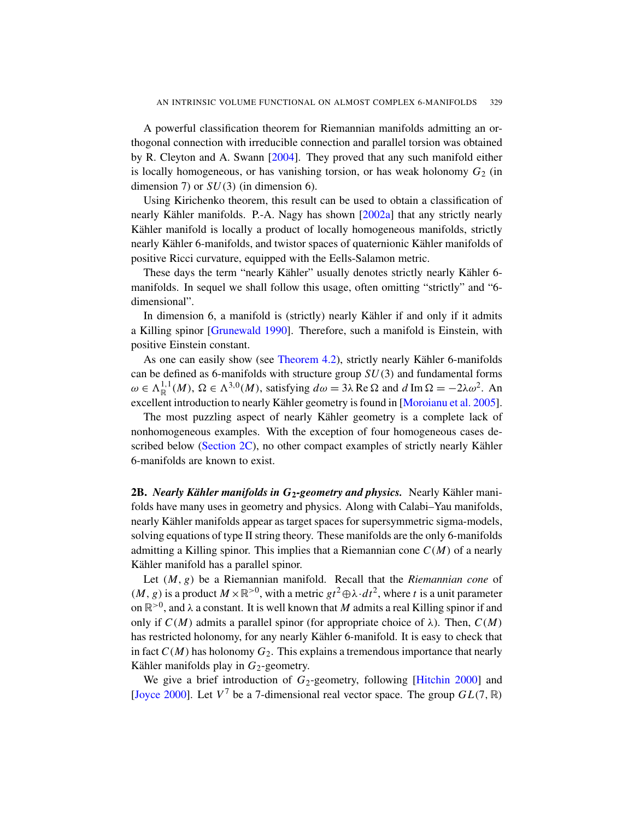A powerful classification theorem for Riemannian manifolds admitting an orthogonal connection with irr[educible](#page-22-2) connection and parallel torsion was obtained by R. Cleyton and A. Swann [2004]. They proved that any such manifold either is locally homogeneous, or has vanishing torsion, or has weak holonomy  $G_2$  (in dimension 7) or *SU*(3) (in dimension 6).

Using Kirichenko theorem, this result can be used to obtain a classification of nearly Kähler manifolds. P.-A. Nagy has shown  $[2002a]$  that any strictly nearly Kähler manifold is locally a product of locally homogeneous manifolds, strictly nearly Kähler 6-manifolds, and twistor spaces of quaternionic Kähler manifolds of [positive Ricc](#page-21-8)i curvature, equipped with the Eells-Salamon metric.

These days the term "nearly Kähler" usually denotes strictly nearly Kähler 6manifolds[. In sequel we](#page-13-1) shall follow this usage, often omitting "strictly" and "6 dimensional".

In dimension 6, a manifold is (strictly) nearly Kähler if and only if it admits a Killing spinor [Grunewald 1990]. [Therefore, such a man](#page-22-3)ifold is Einstein, with positive Einstein constant.

As one can easily show (see Theorem 4.2), strictly nearly Kähler 6-manifolds [can b](#page-10-0)e defined as 6-manifolds with structure group *SU*(3) and fundamental forms  $\omega \in \Lambda^{1,1}_\mathbb{R}(M)$ ,  $\Omega \in \Lambda^{3,0}(M)$ , satisfying  $d\omega = 3\lambda \operatorname{Re}\Omega$  and  $d \operatorname{Im}\Omega = -2\lambda \omega^2$ . An excellent introduction to nearly Kähler geometry is found in [Moroianu et al. 2005].

<span id="page-7-0"></span>The most puzzling aspect of nearly Kähler geometry is a complete lack of nonhomogeneous examples. With the exception of four homogeneous cases described below (Section 2C), no other compact examples of strictly nearly Kähler 6-manifolds are known to exist.

2B. *Nearly Kähler manifolds in G<sub>2</sub>-geometry and physics.* Nearly Kähler manifolds have many uses in geometry and physics. Along with Calabi–Yau manifolds, nearly Kähler manifolds appear as target spaces for supersymmetric sigma-models, solving equations of type II string theory. These manifolds are the only 6-manifolds admitting a Killing spinor. This implies that a Riemannian cone *C*(*M*) of a nearly Kähler manifold has a parallel spinor.

Let (*M*, *g*) be a Riemannian manifold. Recall that the *Riemannian cone* of  $(M, g)$  is a product  $M \times \mathbb{R}^{>0}$ , with a metric  $gt^2 \oplus \lambda \cdot dt^2$ , where *t* is a unit parameter on  $\mathbb{R}^{>0}$ , and  $\lambda$  a constant. It is well known that M [admits](#page-21-0) a real Killing spinor if and only if  $C(M)$  admits a parallel spinor (for appropriate choice of  $\lambda$ ). Then,  $C(M)$ has restricted holonomy, for any nearly Kähler 6-manifold. It is easy to check that in fact  $C(M)$  has holonomy  $G_2$ . This explains a tremendous importance that nearly Kähler manifolds play in  $G_2$ -geometry.

We give a brief introduction of  $G_2$ -geometry, following [Hitchin 2000] and [Joyce 2000]. Let  $V^7$  be a 7-dimensional real vector space. The group  $GL(7, \mathbb{R})$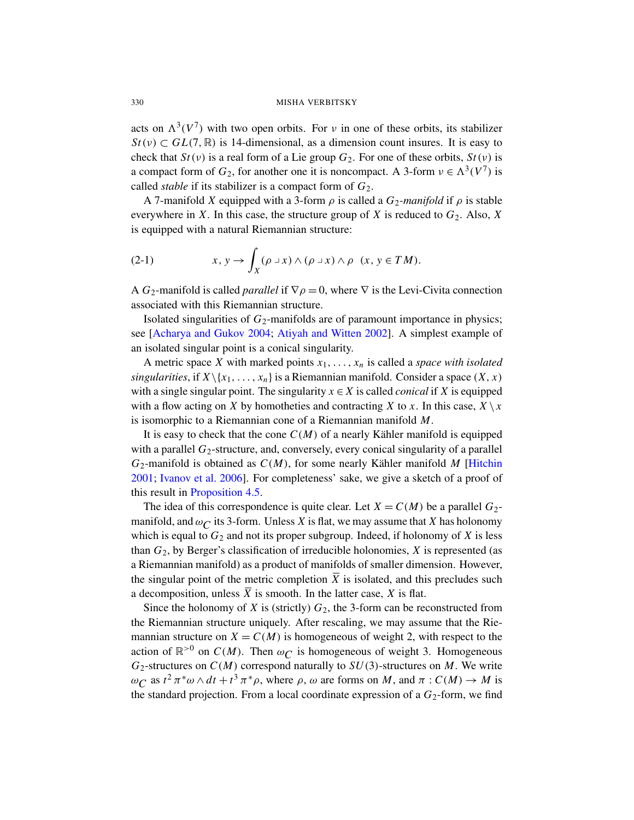acts on  $\Lambda^3(V^7)$  with two open orbits. For v in one of these orbits, its stabilizer  $St(v) \subset GL(7, \mathbb{R})$  is 14-dimensional, as a dimension count insures. It is easy to check that  $St(v)$  is a real form of a Lie group  $G_2$ . For one of these orbits,  $St(v)$  is a compact form of  $G_2$ , for another one it is noncompact. A 3-form  $v \in \Lambda^3(V^7)$  is called *stable* if its stabilizer is a compact form of *G*2.

A 7-manifold *X* equipped with a 3-form  $\rho$  is called a  $G_2$ -manifold if  $\rho$  is stable everywhere in *X*. In this case, the structure group of *X* is reduced to  $G_2$ . Also, *X* is equipped with a natural Riemannian structure:

(2-1) 
$$
x, y \to \int_X (\rho \cup x) \wedge (\rho \cup x) \wedge \rho \quad (x, y \in TM).
$$

A  $G_2$ -manifold is called *parallel* if  $\nabla \rho = 0$ , where  $\nabla$  is the Levi-Civita connection associated with this Riemannian structure.

Isolated singularities of  $G_2$ -manifolds are of paramount importance in physics; see [Acharya and Gukov 2004; Atiyah and Witten 2002]. A simplest example of an isolated singular point is a conical singularity.

A metric space *X* with marked points *x*1, . . . , *x<sup>n</sup>* is called a *space with isolated singularities*, if  $X \setminus \{x_1, \ldots, x_n\}$  is a Riemannian manifold. Consider a space  $(X, x)$ with a single singular point. The singularity  $x \in X$  is [called](#page-21-1) *conical* if *X* is equipped [wit](#page-21-9)h a flow acting on *X* by homotheties and contracting *X* to *x*. In this case,  $X \setminus x$ [is isom](#page-15-0)orphic to a Riemannian cone of a Riemannian manifold *M*.

It is easy to check that the cone  $C(M)$  of a nearly Kähler manifold is equipped with a parallel  $G_2$ -structure, and, conversely, every conical singularity of a parallel  $G_2$ -manifold is obtained as  $C(M)$ , for some nearly Kähler manifold M [Hitchin 2001; Ivanov et al. 2006]. For completeness' sake, we give a sketch of a proof of this result in Proposition 4.5.

The idea of this correspondence is quite clear. Let  $X = C(M)$  be a parallel  $G_2$ manifold, and  $\omega_C$  its 3-form. Unless *X* is flat, we may assume that *X* has holonomy which is equal to  $G_2$  and not its proper subgroup. Indeed, if holonomy of  $X$  is less than *G*2, by Berger's classification of irreducible holonomies, *X* is represented (as a Riemannian manifold) as a product of manifolds of smaller dimension. However, the singular point of the metric completion  $\overline{X}$  is isolated, and this precludes such a decomposition, unless  $\overline{X}$  is smooth. In the latter case,  $X$  is flat.

Since the holonomy of *X* is (strictly)  $G_2$ , the 3-form can be reconstructed from the Riemannian structure uniquely. After rescaling, we may assume that the Riemannian structure on  $X = C(M)$  is homogeneous of weight 2, with respect to the action of  $\mathbb{R}^{>0}$  on  $C(M)$ . Then  $\omega_C$  is homogeneous of weight 3. Homogeneous  $G_2$ -structures on  $C(M)$  correspond naturally to  $SU(3)$ -structures on *M*. We write  $\omega_C$  as  $t^2 \pi^* \omega \wedge dt + t^3 \pi^* \rho$ , where  $\rho$ ,  $\omega$  are forms on *M*, and  $\pi : C(M) \to M$  is the standard projection. From a local coordinate expression of a  $G_2$ -form, we find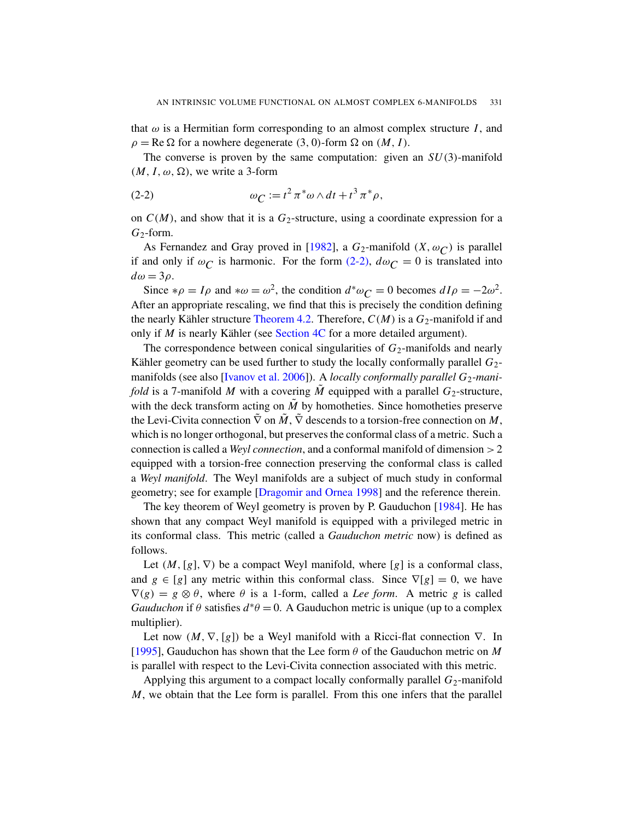<span id="page-9-0"></span>that  $\omega$  is a Hermitian form corresponding to an almost complex structure *I*, and  $\rho = \text{Re } \Omega$  for a nowhere degenerate (3, 0)-form  $\Omega$  on (*M*, *I*).

The converse is proven by the same computation: given an *SU*(3)-manifold  $(M, I, \omega, \Omega)$ , we [write](#page-21-10) a 3-form

(2-2) 
$$
\omega_C := t^2 \pi^* \omega \wedge dt + t^3 \pi^* \rho,
$$

on  $C(M)$ , and show that it is a  $G_2$ -structure, using a coordinate expression for a  $G_2$ -form.

A[s Fernandez a](#page-13-1)nd Gray proved in [1982], a  $G_2$ -manifold  $(X, \omega_C)$  is parallel if and on[ly if](#page-15-0)  $\omega_C$  is harmonic. For the form (2-2),  $d\omega_C = 0$  is translated into  $d\omega = 3\rho$ .

Since  $*\rho = I\rho$  and  $*\omega = \omega^2$ , the condition  $d^*\omega_C = 0$  becomes  $dI\rho = -2\omega^2$ . [After an appropri](#page-21-9)ate rescaling, we find that this is precisely the condition defining the nearly Kähler structure Theorem 4.2. Therefore,  $C(M)$  is a  $G_2$ -manifold if and only if  $M$  is nearly Kähler (see Section 4C for a more detailed argument).

The correspondence between conical singularities of  $G_2$ -manifolds and nearly Kähler geometry can be used further to study the locally conformally parallel  $G_2$ manifolds (see also [Ivanov et al. 2006]). A *locally conformally parallel* G<sub>2</sub>-mani*fold* is a 7-manifold *M* with a covering  $\tilde{M}$  equipped with a parallel  $G_2$ -structure, with the deck transform acting on  $\tilde{M}$  by homotheties. Since homotheties preserve the Le[vi-Civita connection](#page-21-11)  $\tilde{\nabla}$  on  $\tilde{M}$ ,  $\tilde{\nabla}$  descends to a torsion-free connection on  $M$ , which is no longer orthogonal, but preserves t[he conf](#page-21-12)ormal class of a metric. Such a connection is called a *Weyl connection*, and a conformal manifold of dimension >2 equipped with a torsion-free connection preserving the conformal class is called a *Weyl manifold*. The Weyl manifolds are a subject of much study in conformal geometry; see for example [Dragomir and Ornea 1998] and the reference therein.

The key theorem of Weyl geometry is proven by P. Gauduchon [1984]. He has shown that any compact Weyl manifold is equipped with a privileged metric in its conformal class. This metric (called a *Gauduchon metric* now) is defined as follows.

Let  $(M, [g], \nabla)$  be a compact Weyl manifold, where  $[g]$  is a conformal class, and  $g \in [g]$  any metric within this conformal class. Since  $\nabla[g] = 0$ , we have  $\nabla(g) = g \otimes \theta$ , where  $\theta$  is a 1-form, called a *Lee form*. A metric *g* is called *Gauduchon* if  $\theta$  satisfies  $d^*\theta = 0$ . A Gauduchon metric is unique (up to a complex multiplier).

Let now  $(M, \nabla, [g])$  be a Weyl manifold with a Ricci-flat connection  $\nabla$ . In [1995], Gauduchon has shown that the Lee form  $\theta$  of the Gauduchon metric on *M* is parallel with respect to the Levi-Civita connection associated with this metric.

Applying this argument to a compact locally conformally parallel  $G_2$ -manifold *M*, we obtain that the Lee form is parallel. From this one infers that the parallel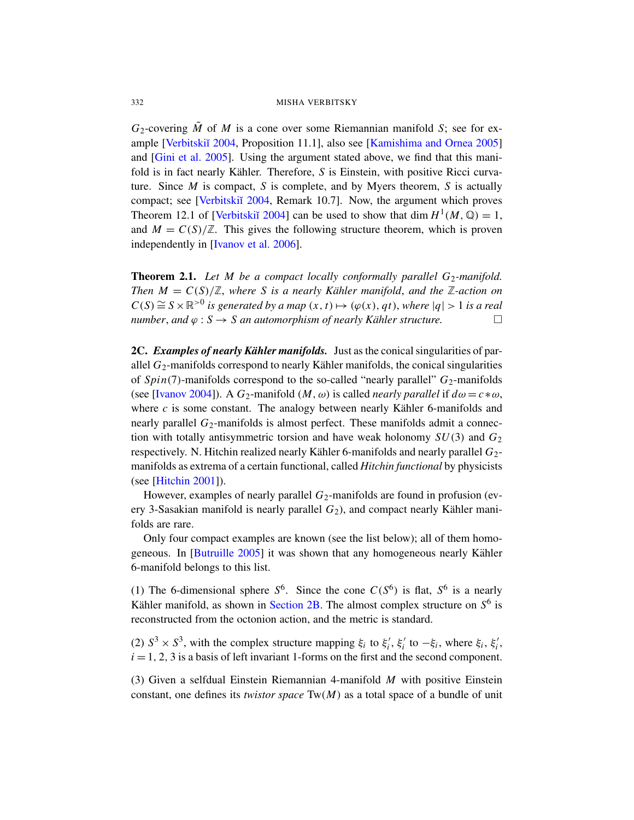$G_2$ [-cover](#page-22-4)ing *M* of *M* is a cone over some Riemannian manifold *S*; see for ex[ample \[Verbi](#page-22-4)tski˘ı 2004, Proposition 11.1], also see [Kamishima and Ornea 2005] and [Gini et al. 2005]. Using the argument stated above, we find that this mani[fold is in fact n](#page-21-9)early Kähler. Therefore, S is Einstein, with positive Ricci curvature. Since *M* is compact, *S* is complete, and by Myers theorem, *S* is actually compact; see [Verbitskiı̆ 2004, Remark 10.7]. Now, the argument which proves Theorem 12.1 of [Verbitskiı̆ 2004] can be used to show that dim  $H^1(M, \mathbb{Q}) = 1$ , and  $M = C(S)/\mathbb{Z}$ . This gives the following structure theorem, which is proven independently in [Ivanov et al. 2006].

<span id="page-10-0"></span>Theorem 2.1. Let M be a compact locally conformally parallel G<sub>2</sub>-manifold. *Then*  $M = C(S)/\mathbb{Z}$ , where *S* is a nearly Kähler manifold, and the  $\mathbb{Z}$ -action on  $C(S) \cong S \times \mathbb{R}^{>0}$  is generated by a map  $(x, t) \mapsto (\varphi(x), qt)$ , where  $|q| > 1$  is a real *number, and*  $\varphi$  :  $S \rightarrow S$  *an automorphism of nearly Kähler structure.* 

2C. *Examples of nearly Kähler manifolds.* Just as the conical singularities of parallel  $G_2$ -manifolds correspond to nearly Kähler manifolds, the conical singularities of *Spin*(7)-manifolds correspond to the so-called "nearly parallel"  $G_2$ -manifolds (see [Ivanov 2004]). A  $G_2$ -manifold  $(M, \omega)$  is called *nearly parallel* if  $d\omega = c * \omega$ , where  $c$  is some constant. The analogy between nearly Kähler 6-manifolds and nearly parallel *G*<sub>2</sub>-manifolds is almost perfect. These manifolds admit a connection with totally antisymmetric torsion and have weak holonomy  $SU(3)$  and  $G_2$ respectively. N. Hitchin realized nearly Kähler 6-manifolds and nearly parallel  $G_2$ manifolds as extrema of a certain functional, called *Hitchin functional* by physicists [\(see \[H](#page-20-7)itchin 2001]).

However, examples of nearly parallel  $G_2$ -manifolds are found in profusion (every 3-Sasakian manifold is nearly parallel  $G_2$ ), and compact nearly Kähler manifolds are rare.

Only [four compac](#page-7-0)t examples are known (see the list below); all of them homogeneous. In  $[Butu$ ille 2005] it was shown that any homogeneous nearly Kähler 6-manifold belongs to this list.

(1) The 6-dimensional sphere  $S^6$ . Since the cone  $C(S^6)$  is flat,  $S^6$  is a nearly Kähler manifold, as shown in Section 2B. The almost complex structure on  $S^6$  is reconstructed from the octonion action, and the metric is standard.

(2)  $S^3 \times S^3$ , with the complex structure mapping  $\xi_i$  to  $\xi'_i$  $i$ <sup>'</sup>,  $\xi_i$ <sup>'</sup>  $\zeta_i'$  to  $-\xi_i$ , where  $\xi_i$ ,  $\xi_i'$ *i* ,  $i = 1, 2, 3$  is a basis of left invariant 1-forms on the first and the second component.

(3) Given a selfdual Einstein Riemannian 4-manifold *M* with positive Einstein constant, one defines its *twistor space* Tw(*M*) as a total space of a bundle of unit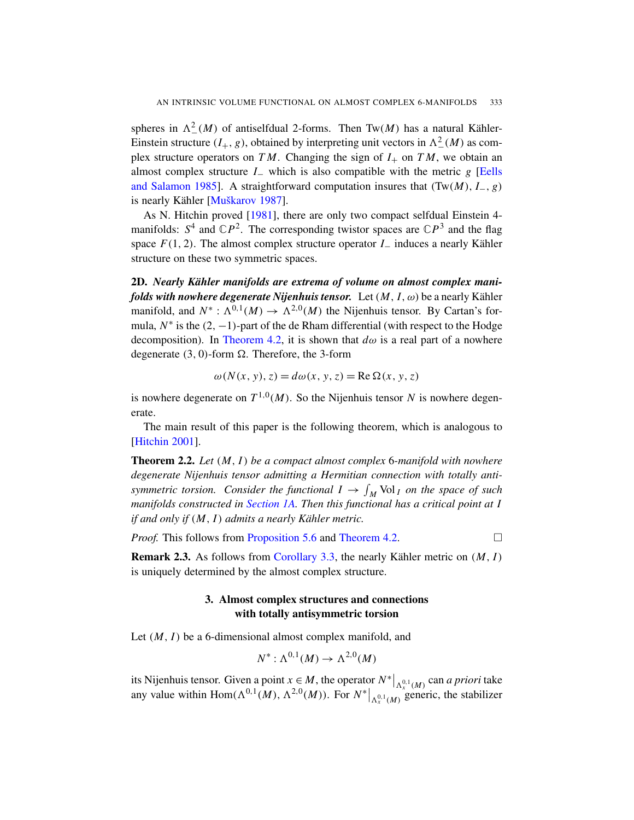[spheres in](#page-22-5)  $\Lambda^2(M)$  of antiselfdual 2-forms. Then Tw(*M*) has a natural KählerEin[stein st](#page-21-14)ructure  $(I_+, g)$ , obtained by interpreting unit vectors in  $\Lambda^2_-(M)$  as complex structure operators on *TM*. Changing the sign of  $I_+$  on *TM*, we obtain an almost complex structure  $I_-\$  which is also compatible with the metric  $g$  [Eells and Salamon 1985]. A straightforward computation insures that (Tw(*M*), *I*−, *g*) is nearly Kähler [Muškarov 1987].

As N. Hitchin proved [1981], there are only two compact selfdual Einstein 4 manifolds:  $S^4$  and  $\mathbb{C}P^2$ . The corresponding twistor spaces are  $\mathbb{C}P^3$  and the flag space  $F(1, 2)$ . The almost complex structure operator *I*<sub>−</sub> induces a nearly Kähler [structure on](#page-13-1) these two symmetric spaces.

2D. *Nearly Kähler manifolds are extrema of volume on almost complex manifolds with nowhere degenerate Nijenhuis tensor.* Let  $(M, I, \omega)$  be a nearly Kähler manifold, and  $N^*$ :  $\Lambda^{0,1}(M) \to \Lambda^{2,0}(M)$  the Nijenhuis tensor. By Cartan's formula,  $N^*$  is the  $(2, -1)$ -part of the de Rham differential (with respect to the Hodge decomposition). In Theorem 4.2, it is shown that  $d\omega$  is a real part of a nowhere degenerate (3, 0)-form  $\Omega$ . Therefore, the 3-form

$$
\omega(N(x, y), z) = d\omega(x, y, z) = \text{Re }\Omega(x, y, z)
$$

<span id="page-11-0"></span>is nowhere degenerate on  $T^{1,0}(M)$ . So the Nijenhuis tensor N is nowhere degenerate.

[The main re](#page-3-3)sult of this paper is the following theorem, which is analogous to [Hitchin 2001].

Th[eorem 2.2.](#page-20-8) *Let* (*M*, *I*) *[be a compa](#page-13-1)ct almost complex* 6*-manifold with nowhere degenerate Nijenhuis tensor admitting a Hermitian connection with totally antisymmetric torsion.* Consider the functional  $I \rightarrow \int_M \text{Vol}_I$  on the space of such *manifolds constructed in Section 1A. Then this functional has a critical point at I if and only if* (*M*, *I*) *admits a nearly Kähler metric.*

*Proof.* This follows from Proposition 5.6 and Theorem 4.2.

**Remark 2.3.** As follows from Corollary 3.3, the nearly Kähler metric on  $(M, I)$ is uniquely determined by the almost complex structure.

# 3. Almost complex structures and connections with totally antisymmetric torsion

Let  $(M, I)$  be a 6-dimensional almost complex manifold, and

$$
N^*: \Lambda^{0,1}(M) \to \Lambda^{2,0}(M)
$$

its Nijenhuis tensor. Given a point  $x \in M$ , the operator  $N^*|_{\Lambda_x^{0,1}(M)}$  can *a priori* take any value within Hom( $\Lambda^{0,1}(M)$ ,  $\Lambda^{2,0}(M)$ ). For  $N^*|_{\Lambda^{0,1}(M)}$  generic, the stabilizer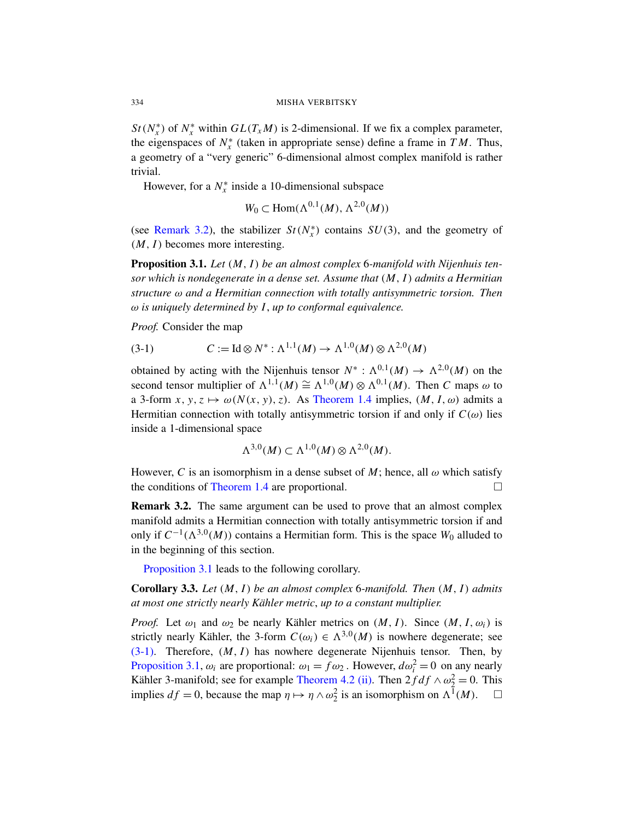*St*( $N_x^*$ ) of  $N_x^*$  within  $GL(T_xM)$  is 2-dimensional. If we fix a complex parameter, the eigenspaces of  $N_x^*$  (taken in appropriate sense) define a frame in  $TM$ . Thus, a geometry of a "very generic" 6-dimensional almost complex manifold is rather trivial.

However, for a  $N_x^*$  inside a 10-dimensional subspace

$$
W_0 \subset \text{Hom}(\Lambda^{0,1}(M), \Lambda^{2,0}(M))
$$

<span id="page-12-1"></span>(see Remark 3.2), the stabilizer  $St(N_x^*)$  contains  $SU(3)$ , and the geometry of (*M*, *I*) becomes more interesting.

Proposition 3.1. *Let* (*M*, *I*) *be an almost complex* 6*-manifold with Nijenhuis tensor which is nondegenerate in a dense set. Assume that* (*M*, *I*) *admits a Hermitian structure* ω *and a Hermitian connection with totally antisymmetric torsion. Then* ω *is uniquely determined by I*, *up to conformal equivalence.*

*Proof.* Consider t[he map](#page-4-0)

(3-1) 
$$
C := \text{Id} \otimes N^* : \Lambda^{1,1}(M) \to \Lambda^{1,0}(M) \otimes \Lambda^{2,0}(M)
$$

obtained by acting with the Nijenhuis tensor  $N^*$ :  $\Lambda^{0,1}(M) \to \Lambda^{2,0}(M)$  on the second tensor multiplier of  $\Lambda^{1,1}(M) \cong \Lambda^{1,0}(M) \otimes \Lambda^{0,1}(M)$ . Then *C* maps  $\omega$  to a 3-form  $x, y, z \mapsto \omega(N(x, y), z)$ . As Theorem 1.4 implies,  $(M, I, \omega)$  admits a [Hermitian](#page-4-0) connection with totally antisymmetric torsion if and only if  $C(\omega)$  lies inside a 1-dimensional space

$$
\Lambda^{3,0}(M) \subset \Lambda^{1,0}(M) \otimes \Lambda^{2,0}(M).
$$

However, C is an isomorphism in a dense subset of  $M$ ; hence, all  $\omega$  which satisfy the conditions of Theorem 1.4 are proportional.  $\Box$ 

<span id="page-12-0"></span>Remark 3.2. The same argument can be used to prove that an almost complex manifold admits a Hermitian connection with totally antisymmetric torsion if and only if  $C^{-1}(\Lambda^{3,0}(M))$  contains a Hermitian form. This is the space  $W_0$  alluded to in the beginning of this section.

Proposition 3.1 leads to the following corollary.

Corollary 3.3. *Let* (*M*, *I*) *be an almost complex* 6*-manifold. Then* (*M*, *I*) *admits at most one st[rictly nearly K](#page-13-1)[ähle](#page-13-2)r metric*, *up to a constant multiplier.*

*Proof.* Let  $\omega_1$  and  $\omega_2$  be nearly Kähler metrics on  $(M, I)$ . Since  $(M, I, \omega_i)$  is strictly nearly Kähler, the 3-form  $C(\omega_i) \in \Lambda^{3,0}(M)$  is nowhere degenerate; see (3-1). Therefore, (*M*, *I*) has nowhere degenerate Nijenhuis tensor. Then, by Proposition 3.1,  $\omega_i$  are proportional:  $\omega_1 = f \omega_2$ . However,  $d\omega_i^2 = 0$  on any nearly Kähler 3-manifold; see for example Theorem 4.2 (ii). Then  $2fdf \wedge \omega_2^2 = 0$ . This implies  $df = 0$ , because the map  $\eta \mapsto \eta \wedge \omega_2^2$  is an isomorphism on  $\Lambda^{\bar{1}}(M)$ .  $\square$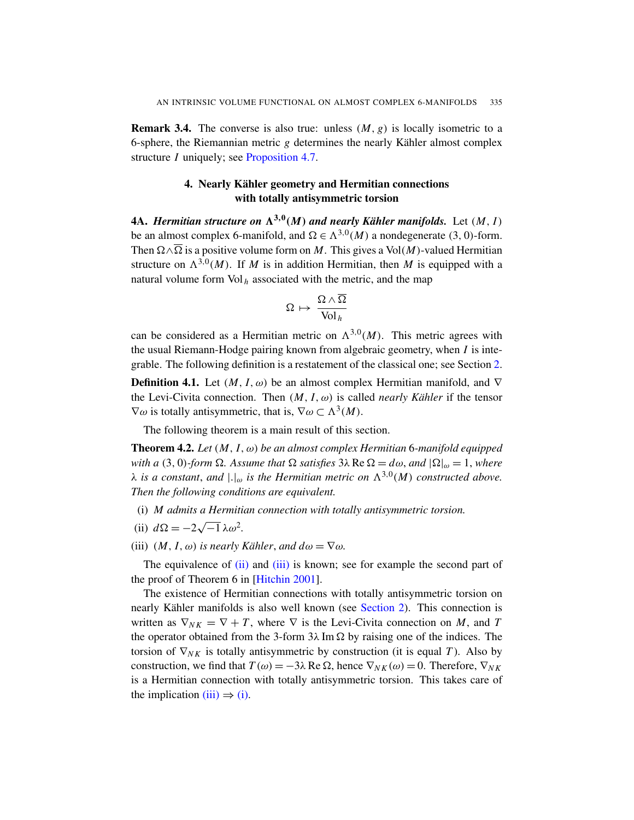**Remark 3.4.** The converse is also true: unless  $(M, g)$  is locally isometric to a 6-sphere, the Riemannian metric  $g$  determines the nearly Kähler almost complex structure *I* uniquely; see Proposition 4.7.

# 4. Nearly Kähler geometry and Hermitian connections with totally antisymmetric torsion

**4A.** *Hermitian structure on*  $\Lambda^{3,0}(M)$  and nearly Kähler manifolds. Let  $(M, I)$ be an almost complex 6-manifold, and  $\Omega \in \Lambda^{3,0}(M)$  a nondegenerate (3, 0)-form. Then  $\Omega \wedge \overline{\Omega}$  is a positive volume form on *M*. This gives a Vol(*M*)-valued Hermitian structure on  $\Lambda^{3,0}(M)$ . If M is in addition Hermitian, then M is equipped with a natural volume form  $Vol_h$  associated with [th](#page-6-0)e metric, and the map

$$
\Omega\,\mapsto\,\frac{\Omega\wedge\overline{\Omega}}{\text{Vol}_\,h}
$$

<span id="page-13-0"></span>can be considered as a Hermitian metric on  $\Lambda^{3,0}(M)$ . This metric agrees with the usual Riemann-Hodge pairing known from algebraic geometry, when *I* is integrable. The following definition is a restatement of the classical one; see Section 2.

<span id="page-13-1"></span>**Definition 4.1.** Let  $(M, I, \omega)$  be an almost complex Hermitian manifold, and  $\nabla$ the Levi-Civita connection. Then  $(M, I, \omega)$  is called *nearly Kähler* if the tensor  $\nabla \omega$  is totally antisymmetric, that is,  $\nabla \omega \subset \Lambda^3(M)$ .

The following theorem is a main result of this section.

<span id="page-13-4"></span><span id="page-13-3"></span><span id="page-13-2"></span>Theorem 4.2. *Let* (*M*, *I*, ω) *be an almost complex Hermitian* 6*-manifold equipped with a* (3, 0)-form  $\Omega$ . Assume that  $\Omega$  satisfies  $3\lambda$  Re  $\Omega = d\omega$ , and  $|\Omega|_{\omega} = 1$ , where  $\lambda$  *is a constant, and*  $|.|_{\omega}$  *is the Hermitian metric on*  $\Lambda^{3,0}(M)$  *constructed above. [Then](#page-13-2) the [follo](#page-13-3)wing conditions are equivalent.*

- (i) *[M admits a He](#page-21-1)rmitian connection with totally antisymmetric torsion.* √
- $(ii) d\Omega = -2$  $\overline{-1}$ λω<sup>2</sup>.
- (iii)  $(M, I, \omega)$  *is nearly Kähler, and*  $d\omega = \nabla \omega$ *.*

The equivalence of (ii) and (iii) is known; see for example the second part of the proof of Theorem 6 in [Hitchin 2001].

The existence of Hermitian connections with totally antisymmetric torsion on nearly Kähler manifolds is also well known (see Section 2). This connection is [writt](#page-13-4)en as  $\nabla_{NK} = \nabla + T$ , where  $\nabla$  is the Levi-Civita connection on *M*, and *T* the operator obtained from the 3-form  $3\lambda \text{Im } \Omega$  by raising one of the indices. The torsion of  $\nabla_{NK}$  is totally antisymmetric by construction (it is equal *T*). Also by construction, we find that  $T(\omega) = -3\lambda \text{ Re } \Omega$ , hence  $\nabla_{NK}(\omega) = 0$ . Therefore,  $\nabla_{NK}$ is a Hermitian connection with totally antisymmetric torsion. This takes care of the implication (iii)  $\Rightarrow$  (i).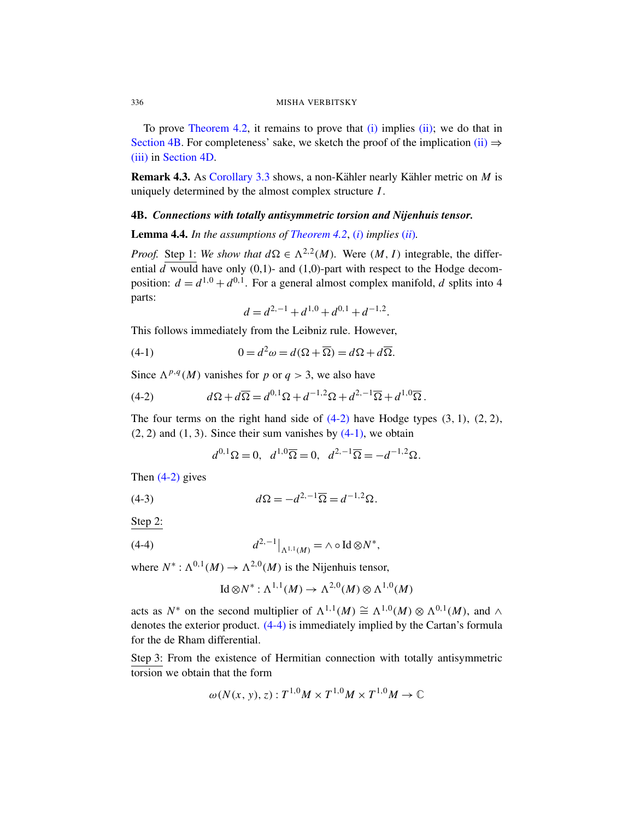To prove Theorem 4.2, it remains to prove that  $(i)$  implies  $(ii)$ ; we do that in Section 4B. For completeness' sake, we sketch the proof of the implication (ii)  $\Rightarrow$ (iii) in Sectio[n 4D.](#page-13-1)

Remark 4.3. As Corollary 3.3 shows, a non-Kähler nearly Kähler metric on *M* is uniquely determined by the almost complex structure *I*.

## 4B. *Connections with totally antisymmetric torsion and Nijenhuis tensor.*

Lemma 4.4. *In the assumptions of Theorem 4.2*, (*i*) *implies* (*ii*)*.*

*Proof.* Step 1: *We show that*  $d\Omega \in \Lambda^{2,2}(M)$ . Were  $(M, I)$  integrable, the differential  $\overline{d}$  would have only (0,1)- and (1,0)-part with respect to the Hodge decomposition:  $d = d^{1,0} + d^{0,1}$ . For a general almost complex manifold, *d* splits into 4 parts:

<span id="page-14-1"></span><span id="page-14-0"></span>
$$
d = d^{2,-1} + d^{1,0} + d^{0,1} + d^{-1,2}.
$$

This follows immediately from the Leibniz rule. However,

(4-1) 
$$
0 = d^2 \omega = d(\Omega + \overline{\Omega}) = d\Omega + d\overline{\Omega}.
$$

Since  $\Lambda^{p,q}(M)$  vanishes for *p* or *q* > 3, we also have

<span id="page-14-3"></span>(4-2) 
$$
d\Omega + d\overline{\Omega} = d^{0,1}\Omega + d^{-1,2}\Omega + d^{2,-1}\overline{\Omega} + d^{1,0}\overline{\Omega}.
$$

The four terms on the right hand side of  $(4-2)$  have Hodge types  $(3, 1)$ ,  $(2, 2)$ ,  $(2, 2)$  and  $(1, 3)$ . Since their sum vanishes by  $(4-1)$ , we obtain

$$
d^{0,1}\Omega = 0, \ \ d^{1,0}\overline{\Omega} = 0, \ \ d^{2,-1}\overline{\Omega} = -d^{-1,2}\Omega.
$$

<span id="page-14-2"></span>Then (4-2) gives

(4-3) 
$$
d\Omega = -d^{2,-1}\overline{\Omega} = d^{-1,2}\Omega.
$$

Step 2:

(4-4) 
$$
d^{2,-1}|_{\Lambda^{1,1}(M)} = \wedge \circ \text{Id} \otimes N^*,
$$

where  $N^*$ :  $\Lambda^{0,1}(M) \to \Lambda^{2,0}(M)$  is the Nijenhuis tensor,

$$
Id \otimes N^* : \Lambda^{1,1}(M) \to \Lambda^{2,0}(M) \otimes \Lambda^{1,0}(M)
$$

acts as  $N^*$  on the second multiplier of  $\Lambda^{1,1}(M) \cong \Lambda^{1,0}(M) \otimes \Lambda^{0,1}(M)$ , and  $\wedge$ denotes the exterior product. (4-4) is immediately implied by the Cartan's formula for the de Rham differential.

Step 3: From the existence of Hermitian connection with totally antisymmetric torsion we obtain that the form

$$
\omega(N(x, y), z) : T^{1,0}M \times T^{1,0}M \times T^{1,0}M \to \mathbb{C}
$$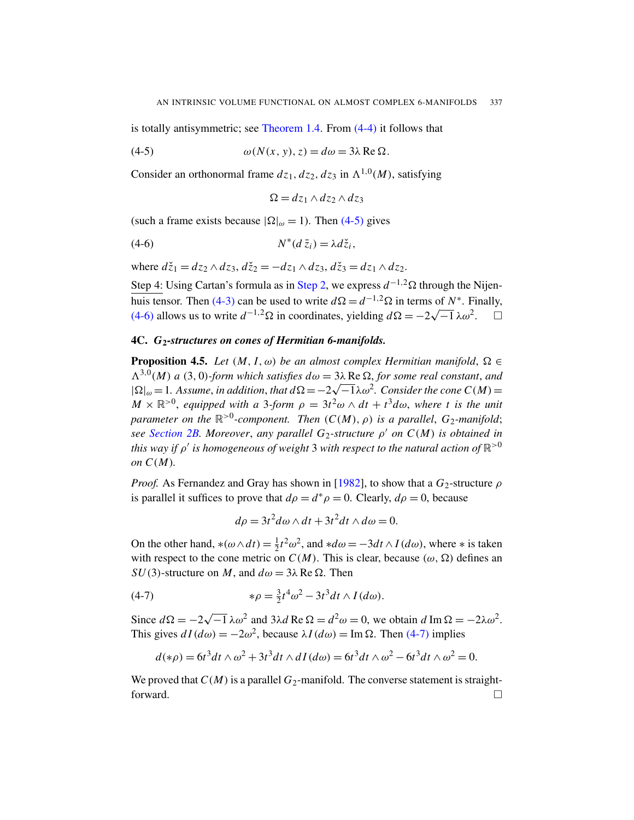is totally antisymmetric; see Theorem 1.4. From (4-4) it follows that

(4-5) 
$$
\omega(N(x, y), z) = d\omega = 3\lambda \operatorname{Re} \Omega.
$$

Consider an orthonormal frame  $dz_1$ ,  $dz_2$ ,  $dz_3$  in  $\Lambda^{1,0}(M)$ , satisfying

<span id="page-15-1"></span>
$$
\Omega = dz_1 \wedge dz_2 \wedge dz_3
$$

[\(s](#page-14-3)uch a frame [exists b](#page-14-2)ecause  $|\Omega|_{\omega} = 1$ ). Then (4-5) gives

$$
(4-6) \t N^*(d\,\bar{z}_i) = \lambda d\check{z}_i,
$$

<span id="page-15-0"></span>where  $d\zeta_1 = dz_2 \wedge dz_3$ ,  $d\zeta_2 = -dz_1 \wedge dz_3$ ,  $d\zeta_3 = dz_1 \wedge dz_2$ .

Step 4: Using Cartan's formula as in Step 2, we express  $d^{-1,2}\Omega$  through the Nijenhuis tensor. Then (4-3) can be used to write  $d\Omega = d^{-1/2}\Omega$  in terms of *N*<sup>\*</sup>. Finally, (4-6) allows us to write  $d^{-1,2}$ Ω in coordinates, yielding  $d\Omega = -2\sqrt{-1}\lambda\omega^2$ . □

## 4C. *G*2*-structures on cones of Hermitian 6-manifolds.*

**Proposition 4.5.** *Let*  $(M, I, \omega)$  *be an almost complex Hermitian manifold*,  $\Omega \in$  $\Lambda^{3,0}(M)$  *a* (3, 0)*-form which satisfies*  $d\omega = 3\lambda \text{ Re } \Omega$ *, for some real constant, and*  $|\Omega|_{\omega} = 1$ *. Assume, in addition, that*  $d\Omega = -2\sqrt{-1}\lambda \omega^2$ *. Consider the cone C(M)*=  $M \times \mathbb{R}^{>0}$ , equipped w[ith a](#page-21-10) 3-form  $\rho = 3t^2\omega \wedge dt + t^3d\omega$ , where t is the unit *parameter on the* R >0 *-component. Then* (*C*(*M*), ρ) *is a parallel*, *G*2*-manifold*; *see Section 2B. Moreover*, *any parallel G*2*-structure* ρ <sup>0</sup> *on C*(*M*) *is obtained in* this way if  $\rho'$  is homogeneous of weight  $3$  with respect to the natural action of  $\mathbb{R}^{>0}$ *on*  $C(M)$ .

*Proof.* As Fernandez and Gray has shown in [1982], to show that a  $G_2$ -structure  $\rho$ is parallel it suffices to prove that  $d\rho = d^*\rho = 0$ . Clearly,  $d\rho = 0$ , because

<span id="page-15-2"></span>
$$
d\rho = 3t^2 d\omega \wedge dt + 3t^2 dt \wedge d\omega = 0.
$$

On the other hand,  $*(\omega \wedge dt) = \frac{1}{2}$  $\frac{1}{2}t^2\omega^2$ , and \* $d\omega = -3dt \wedge I(d\omega)$ , where \* is taken with respect to the cone metric on  $C(M)$ [. Th](#page-15-2)is is clear, because  $(\omega, \Omega)$  defines an *SU*(3)-structure on *M*, and  $d\omega = 3\lambda$  Re  $\Omega$ . Then

(4-7) 
$$
*\rho = \frac{3}{2}t^4\omega^2 - 3t^3dt \wedge I(d\omega).
$$

Since  $d\Omega = -2$ √  $\overline{-1}\lambda\omega^2$  and  $3\lambda d$  Re  $\Omega = d^2\omega = 0$ , we obtain  $d \text{Im}\,\Omega = -2\lambda\omega^2$ . This gives  $dI(d\omega) = -2\omega^2$ , because  $\lambda I(d\omega) = \text{Im }\Omega$ . Then (4-7) implies

$$
d(\ast \rho) = 6t^3dt \wedge \omega^2 + 3t^3dt \wedge dI(d\omega) = 6t^3dt \wedge \omega^2 - 6t^3dt \wedge \omega^2 = 0.
$$

We proved that  $C(M)$  is a parallel  $G_2$ -manifold. The converse statement is straightforward.  $\square$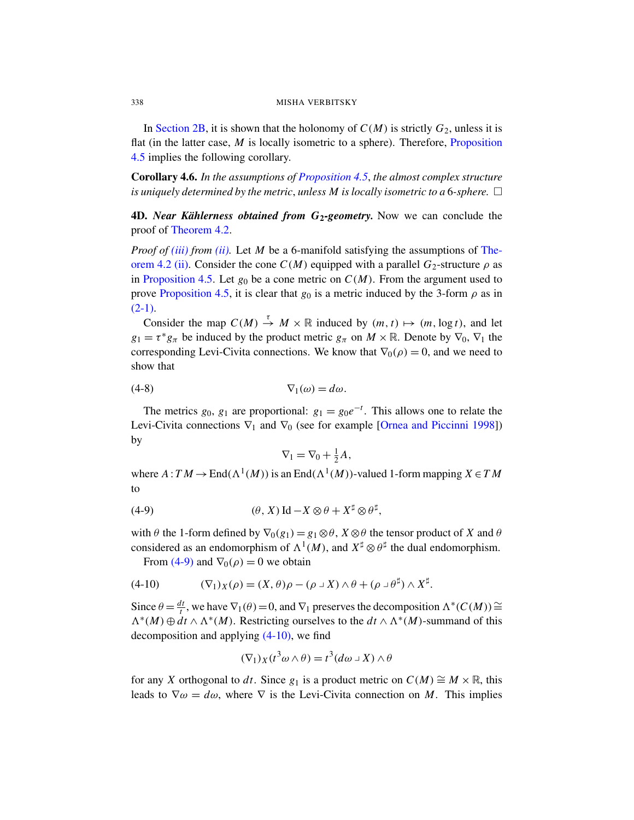<span id="page-16-0"></span>In Section 2B, it is shown that the holonomy of  $C(M)$  is strictly  $G_2$ , unless it is flat (in the latter case, *M* is locally isometric to a sphere). Therefore, Proposition [4](#page-13-1).5 implies the following corollary.

[C](#page-13-2)orollary 4.6. *In the assumptions of Proposition 4.5*, *t[he alm](#page-13-1)ost complex structure is uniquely determined by the metric, unless M is locally isometric to a 6-sphere.*  $\Box$ 

[4](#page-15-0)D. *Near Kählerness obtained from G*<sub>2</sub>-geometry. Now we can conclude the proof of Theorem 4.2.

*Proof of (iii) from (ii).* Let *M* be a 6-manifold satisfying the assumptions of Theorem 4.2 (ii). Consider the cone  $C(M)$  equipped with a parallel  $G_2$ -structure  $\rho$  as in Proposition 4.5. Let  $g_0$  be a cone metric on  $C(M)$ . From the argument used to prove Proposition 4.5, it is clear that  $g_0$  is a metric induced by the 3-form  $\rho$  as in  $(2-1).$ 

Consider the map  $C(M) \stackrel{\tau}{\rightarrow} M \times \mathbb{R}$  induced by  $(m, t) \mapsto (m, \log t)$ , and let  $g_1 = \tau^* g_\pi$  be induced by the product metric  $g_\pi$  on  $M \times \mathbb{R}$ . Denote by  $\nabla_0$ ,  $\nabla_1$  the corresponding Levi-Civita conne[ctions. We know that](#page-22-6)  $\nabla_0(\rho) = 0$ , and we need to show that

$$
(4-8) \t\t \nabla_1(\omega) = d\omega.
$$

The metrics  $g_0$ ,  $g_1$  are proportional:  $g_1 = g_0 e^{-t}$ . This allows one to relate the Levi-Civita connections  $\nabla_1$  and  $\nabla_0$  (see for example [Ornea and Piccinni 1998]) by

<span id="page-16-1"></span>
$$
\nabla_1 = \nabla_0 + \tfrac{1}{2}A,
$$

where  $A: TM \to \text{End}(\Lambda^1(M))$  is an  $\text{End}(\Lambda^1(M))$ -valued 1-form mapping  $X \in TM$ to

(4-9) 
$$
(\theta, X) \operatorname{Id} - X \otimes \theta + X^{\sharp} \otimes \theta^{\sharp},
$$

with  $\theta$  the 1-form defined by  $\nabla_0(g_1) = g_1 \otimes \theta$ ,  $X \otimes \theta$  the tensor product of X and  $\theta$ considered as an endomorphism of  $\Lambda^1(M)$ , and  $X^{\sharp} \otimes \theta^{\sharp}$  the dual endomorphism.

From [\(4-9\)](#page-16-1) and  $\nabla_0(\rho) = 0$  we obtain

$$
(4-10) \qquad (\nabla_1)_X(\rho) = (X,\theta)\rho - (\rho \cup X) \wedge \theta + (\rho \cup \theta^{\sharp}) \wedge X^{\sharp}.
$$

Since  $\theta = \frac{dt}{t}$ *t*<sub>*t*</sub>, we have  $\nabla_1(\theta) = 0$ , and  $\nabla_1$  preserves the decomposition  $\Lambda^*(C(M))$  ≅  $\Lambda^*(M) \oplus \mathcal{A}^t \wedge \Lambda^*(M)$ . Restricting ourselves to the  $\mathcal{A}^* \wedge \Lambda^*(M)$ -summand of this decomposition and applying  $(4-10)$ , we find

$$
(\nabla_1)_X(t^3\omega\wedge\theta)=t^3(d\omega\,\text{-}\,X)\wedge\theta
$$

for any *X* orthogonal to *dt*. Since  $g_1$  is a product metric on  $C(M) \cong M \times \mathbb{R}$ , this leads to  $\nabla \omega = d\omega$ , where  $\nabla$  is the Levi-Civita connection on *M*. This implies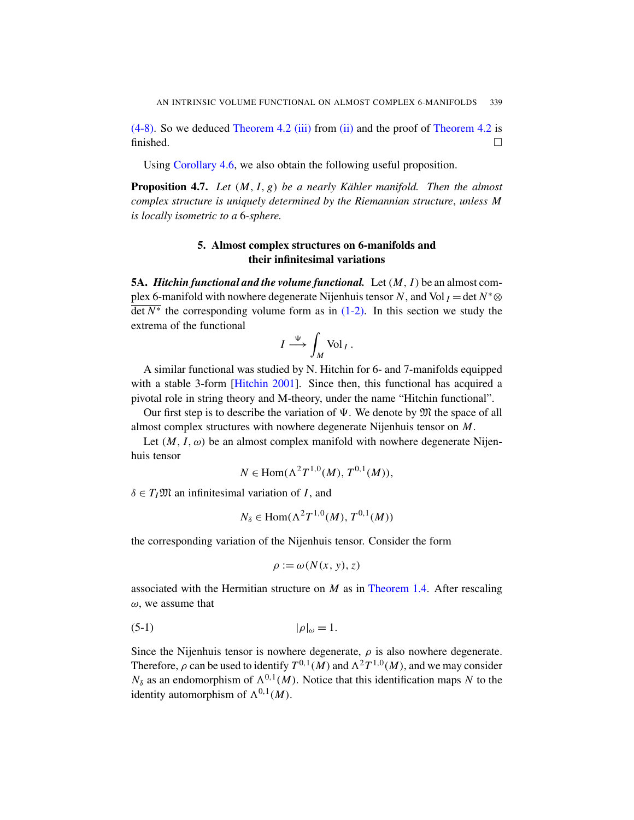<span id="page-17-0"></span>(4-8). So we deduced Theorem 4.2 (iii) from (ii) and the proof of Theorem 4.2 is finished.  $\Box$ 

Using Corollary 4.6, we also obtain the following useful proposition.

<span id="page-17-1"></span>Proposition 4.7. *Let* (*M*, *I*, *g*) *be a nearly Kähler manifold. Then the almost complex structure is uniquely determined by the Riemannian structure*, *unless M is locally isometric to a* 6*-sphere.*

# 5. Almo[st com](#page-3-0)plex structures on 6-manifolds and their infinitesimal variations

5A. *Hitchin functional and the volume functional.* Let(*M*, *I*) be an almost complex 6-manifold with nowhere degenerate Nijenhuis tensor *N*, and Vol  $I = \det N^* \otimes I$  $\overline{\det N^*}$  [the corr](#page-21-1)esponding volume form as in (1-2). In this section we study the extrema of the functional

$$
I \stackrel{\Psi}{\longrightarrow} \int_M \text{Vol}_I.
$$

A similar functional was studied by N. Hitchin for 6- and 7-manifolds equipped with a stable 3-form [Hitchin 2001]. Since then, this functional has acquired a pivotal role in string theory and M-theory, under the name "Hitchin functional".

Our first step is to describe the variation of  $\Psi$ . We denote by  $\mathfrak{M}$  the space of all almost complex structures with nowhere degenerate Nijenhuis tensor on *M*.

Let  $(M, I, \omega)$  be an almost complex manifold with nowhere degenerate Nijenhuis tensor

$$
N \in \text{Hom}(\Lambda^2 T^{1,0}(M), T^{0,1}(M)),
$$

 $\delta \in T_I \mathfrak{M}$  an infinitesimal variation of *I*, and

$$
N_{\delta} \in \text{Hom}(\Lambda^2 T^{1,0}(M), T^{0,1}(M))
$$

<span id="page-17-2"></span>the corresponding variation of the Nijenhuis tensor. Consider the form

$$
\rho := \omega(N(x, y), z)
$$

associated with the Hermitian structure on *M* as in Theorem 1.4. After rescaling  $\omega$ , we assume that

<span id="page-17-3"></span>
$$
|\rho|_{\omega} = 1.
$$

Since the Nijenhuis tensor is nowhere degenerate,  $\rho$  is also nowhere degenerate. Therefore,  $\rho$  can be used to identify  $T^{0,1}(M)$  and  $\Lambda^2 T^{1,0}(M)$ , and we may consider  $N_{\delta}$  as an endomorphism of  $\Lambda^{0,1}(M)$ . Notice that this identification maps *N* to the identity automorphism of  $\Lambda^{0,1}(M)$ .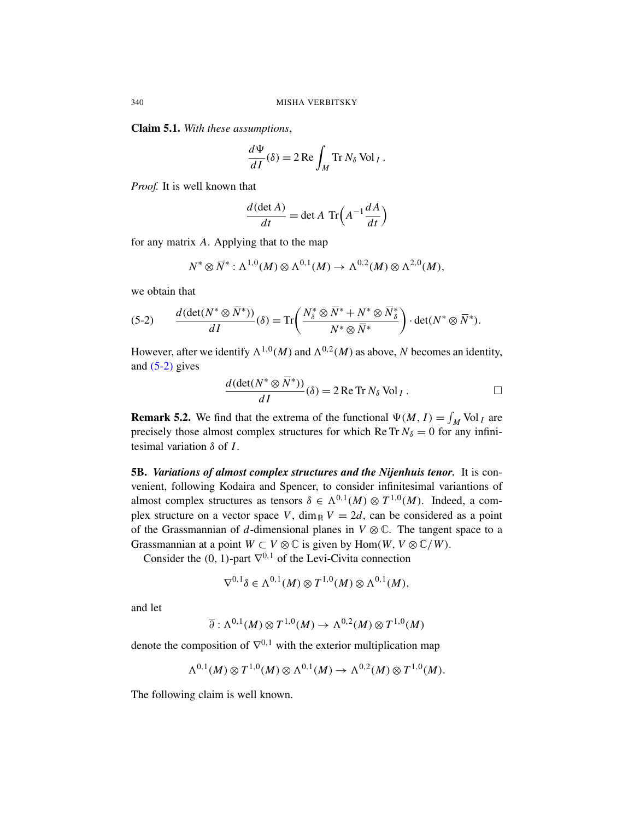Claim 5.1. *With these assumptions*,

$$
\frac{d\Psi}{dI}(\delta) = 2 \operatorname{Re} \int_M \operatorname{Tr} N_\delta \operatorname{Vol}_I.
$$

*Proof.* It is well known that

$$
\frac{d(\det A)}{dt} = \det A \operatorname{Tr}\left(A^{-1}\frac{dA}{dt}\right)
$$

for any matrix *A*. Applying that to the map

$$
N^* \otimes \overline{N}^* : \Lambda^{1,0}(M) \otimes \Lambda^{0,1}(M) \to \Lambda^{0,2}(M) \otimes \Lambda^{2,0}(M),
$$

we obtain that

(5-2) 
$$
\frac{d(\det(N^*\otimes \overline{N}^*))}{dI}(\delta) = \text{Tr}\left(\frac{N_{\delta}^*\otimes \overline{N}^* + N^*\otimes \overline{N}_{\delta}^*}{N^*\otimes \overline{N}^*}\right) \cdot \det(N^*\otimes \overline{N}^*).
$$

<span id="page-18-0"></span>However, after we identify  $\Lambda^{1,0}(M)$  and  $\Lambda^{0,2}(M)$  as above, N becomes an identity, and  $(5-2)$  gives

$$
\frac{d(\det(N^* \otimes \overline{N}^*))}{dI}(\delta) = 2 \operatorname{Re} \operatorname{Tr} N_{\delta} \operatorname{Vol}_I.
$$

**Remark 5.2.** We find that the extrema of the functional  $\Psi(M, I) = \int_M \text{Vol}_I$  are precisely those almost complex structures for which Re Tr  $N_{\delta} = 0$  for any infinitesimal variation δ of *I*.

5B. *Variations of almost complex structures and the Nijenhuis tenor.* It is convenient, following Kodaira and Spencer, to consider infinitesimal variantions of almost complex structures as tensors  $\delta \in \Lambda^{0,1}(M) \otimes T^{1,0}(M)$ . Indeed, a complex structure on a vector space *V*, dim<sub>R</sub>  $V = 2d$ , can be considered as a point of the Grassmannian of *d*-dimensional planes in  $V \otimes \mathbb{C}$ . The tangent space to a Grassmannian at a point  $W \subset V \otimes \mathbb{C}$  is given by  $\text{Hom}(W, V \otimes \mathbb{C}/W)$ .

Consider the  $(0, 1)$ -part  $\nabla^{0,1}$  of the Levi-Civita connection

$$
\nabla^{0,1}\delta\in\Lambda^{0,1}(M)\otimes T^{1,0}(M)\otimes\Lambda^{0,1}(M),
$$

and let

$$
\overline{\partial}: \Lambda^{0,1}(M) \otimes T^{1,0}(M) \to \Lambda^{0,2}(M) \otimes T^{1,0}(M)
$$

denote the composition of  $\nabla^{0,1}$  with the exterior multiplication map

$$
\Lambda^{0,1}(M) \otimes T^{1,0}(M) \otimes \Lambda^{0,1}(M) \to \Lambda^{0,2}(M) \otimes T^{1,0}(M).
$$

The following claim is well known.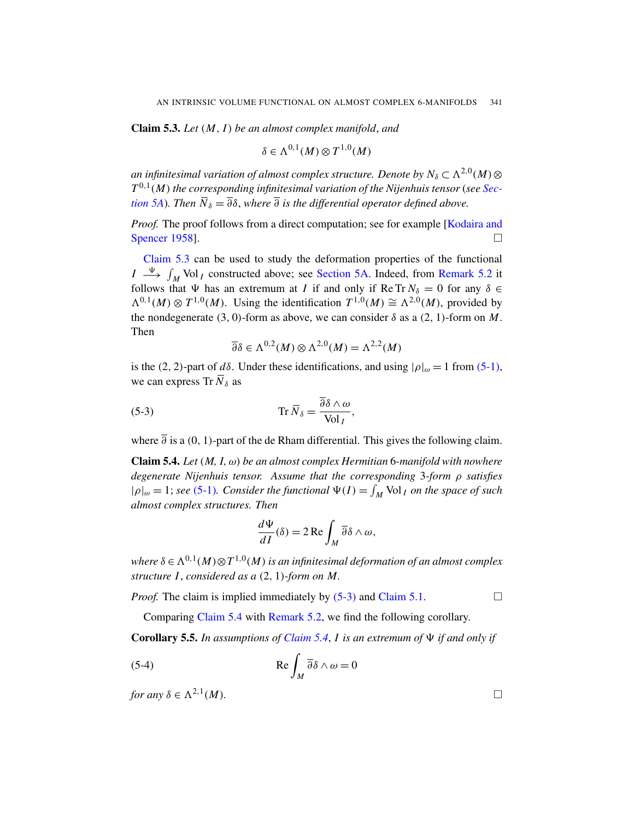Claim 5.3. *Let* (*M*, *I*) *be an almost complex manifold*, *and*

$$
\delta \in \Lambda^{0,1}(M) \otimes T^{1,0}(M)
$$

an infinitesimal variation of almost complex structure. Denote by  $N_{\delta}\subset \Lambda^{2,0}(M)\otimes$ *T* 0,1 (*M*) *the corresponding infinitesimal variation of the Nijenhuis tensor* (*see Section 5A*). Then  $\overline{N}_{\delta} = \overline{\partial} \delta$ , [where](#page-17-1)  $\overline{\partial}$  is the differe[ntial operato](#page-18-0)r defined above.

*Proof.* The proof follows from a direct computation; see for example [Kodaira and Spencer 1958].

<span id="page-19-0"></span>Claim 5.3 can be used to study the deformation properties of the functional  $I \stackrel{\Psi}{\longrightarrow} \int_M \text{Vol}_I$  constructed above; see Section 5A. Indeed, from Remark 5.2 it follows that  $\Psi$  has an extremum at *I* if and only if [Re Tr](#page-17-2)  $N_{\delta} = 0$  for any  $\delta \in$  $\Lambda^{0,1}(M)$  ⊗  $T^{1,0}(M)$ . Using the identification  $T^{1,0}(M) \cong \Lambda^{2,0}(M)$ , provided by the nondegenerate (3, 0)-form as above, we can consider  $\delta$  as a (2, 1)-form on *M*. Then

$$
\overline{\partial} \delta \in \Lambda^{0,2}(M) \otimes \Lambda^{2,0}(M) = \Lambda^{2,2}(M)
$$

<span id="page-19-1"></span>is the (2, 2)-part of *d*δ. Under these identifications, and using  $|\rho|_{\omega} = 1$  from (5-1), we can express Tr  $\overline{N}_{\delta}$  as

(5-3) 
$$
\operatorname{Tr} \overline{N}_{\delta} = \frac{\overline{\partial} \delta \wedge \omega}{\operatorname{Vol}_I},
$$

where  $\overline{\partial}$  is a (0, 1)-part of the de Rham differential. This gives the following claim.

Claim 5.4. *Let* (*M*, *I*, ω) *be an almost complex Hermitian* 6*-manifold with nowhere degenerate Nijenhuis tensor. Assume that the corresponding* 3*-form* ρ *satisfies*  $|\rho|_{\omega} = 1$ ; *see* (5-1). Consider the functional  $\Psi(I) = \int_M \text{Vol}_I$  on the space of such *almost complex structures. Then*

$$
\frac{d\Psi}{dI}(\delta) = 2 \operatorname{Re} \int_M \overline{\partial} \delta \wedge \omega,
$$

where  $\delta \in \Lambda^{0,1}(M) \otimes T^{1,0}(M)$  $\delta \in \Lambda^{0,1}(M) \otimes T^{1,0}(M)$  $\delta \in \Lambda^{0,1}(M) \otimes T^{1,0}(M)$  is an infinitesimal deformation of an almost complex *structure I*, *considered as a* (2, 1)*-form on M.*

*Proof.* The claim is implied immediately by  $(5-3)$  and Claim 5.1.

Comparing Claim 5.4 with Remark 5.2, we find the following corollary.

**Corollary 5.5.** In assumptions of Claim 5.4, I is an extremum of  $\Psi$  if and only if

(5-4) 
$$
\operatorname{Re} \int_M \overline{\partial} \delta \wedge \omega = 0
$$

*for any*  $\delta \in \Lambda^{2,1}(M)$ . (*M*)*.*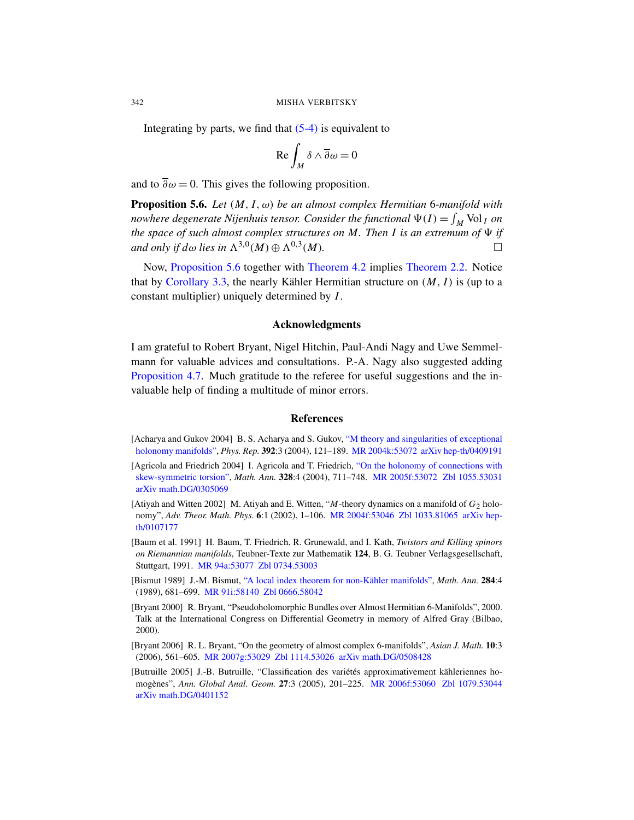Integrating by parts, we find that  $(5-4)$  is equivalent to

$$
\operatorname{Re}\int_M \delta \wedge \overline{\partial}\omega = 0
$$

[and](#page-20-8) to  $\overline{\partial}\omega = 0$ . [This gives the f](#page-13-1)ollowin[g proposition.](#page-11-0)

Proposition 5.6. *Let* (*M*, *I*, ω) *be an almost complex Hermitian* 6*-manifold with nowhere degenerate Nijenhuis tensor. Consider the functional*  $\Psi(I) = \int_M \text{Vol}_I$  *on the space of such almost complex structures on M. Then I is an extremum of*  $\Psi$  *if and only if d* $\omega$  *lies in*  $\Lambda^{3,0}(M) \oplus \Lambda^{0,3}(M)$ *.*  $\Box$ 

Now, Proposition 5.6 together with Theorem 4.2 implies Theorem 2.2. Notice that by Corollary 3.3, the nearly Kähler Hermitian structure on  $(M, I)$  is (up to a constant multiplier) uniquely determined by *I*.

#### Acknowledgments

<span id="page-20-5"></span><span id="page-20-2"></span>I am grateful to Robert Bryant, Nigel Hitchin, Paul-Andi Nagy and Uwe Semmelmann for valuable advic[es and consultations. P.-A. Nagy a](http://dx.doi.org/10.1016/j.physrep.2003.10.017)lso suggested adding Proposition 4.7. Much gr[atitude to the re](http://www.ams.org/mathscinet-getitem?mr=2004k:53072)[feree for useful su](http://arxiv.org/abs/hep-th/0409191)ggestions and the invaluable help of finding a [multitude of minor errors.](http://dx.doi.org/10.1007/s00208-003-0507-9)

#### References

- <span id="page-20-6"></span>[Acharya and Gukov 2004] [B. S. Acharya an](http://www.ams.org/mathscinet-getitem?mr=2004f:53046)[d S. Gukov,](http://www.emis.de/cgi-bin/MATH-item?1033.81065) "M t[heory and s](http://arxiv.org/abs/hep-th/0107177)ingularities of exceptional holonomy manifolds", *Phys. Rep.* 392:3 (2004), 121–189. MR 2004k:53072 arXiv hep-th/0409191
- <span id="page-20-4"></span>[Agricola and Friedrich 2004] I. Agricola and T. Friedrich, "On the holonomy of connections with skew-symmetric torsion", *Math. Ann.* 328:4 (2004), 711–748. MR 2005f:53072 Zbl 1055.53031 [arXiv](http://www.ams.org/mathscinet-getitem?mr=94a:53077) [math.DG/030506](http://www.emis.de/cgi-bin/MATH-item?0734.53003)9
- <span id="page-20-1"></span>[Atiyah and Witten 2002] [M. Atiyah and E. Witten, "](http://dx.doi.org/10.1007/BF01443359)*M*-theory dynamics on a manifold of *G*2 holo[nomy",](http://www.ams.org/mathscinet-getitem?mr=91i:58140) *[Adv. Theor. Math](http://www.emis.de/cgi-bin/MATH-item?0666.58042). Phys.* 6:1 (2002), 1–106. MR 2004f:53046 Zbl 1033.81065 arXiv hepth/0107177
- <span id="page-20-0"></span>[Baum et al. 1991] H. Baum, T. Friedrich, R. Grunewald, and I. Kath, *Twistors and Killing spinors on Riemannian manifolds*, Teubner-Texte zur Mathematik 124, B. G. Teubner Verlagsgesellschaft, Stuttgart, 1991. MR 94a:53077 Zbl 0734.53003
- <span id="page-20-3"></span>[\[Bismut 198](http://www.ams.org/mathscinet-getitem?mr=2007g:53029)9] [J.-M. Bismut](http://www.emis.de/cgi-bin/MATH-item?1114.53026), ["A local index theorem f](http://arxiv.org/abs/math.DG/0508428)or non-Kähler manifolds", *Math. Ann.* 284:4 (1989), 681–699. MR 91i:58140 Zbl 0666.58042
- <span id="page-20-7"></span>[Bryant 2000] R. Bryant, "Pseudohol[omorphic Bundles](http://www.ams.org/mathscinet-getitem?mr=2006f:53060) [over Almost Herm](http://www.emis.de/cgi-bin/MATH-item?1079.53044)itian 6-Manifolds", 2000. Talk at the International Congress on Differential Geometry in memory of Alfred Gray (Bilbao, 2000).
- [Bryant 2006] R. L. Bryant, "On the geometry of almost complex 6-manifolds", *Asian J. Math.* 10:3 (2006), 561–605. MR 2007g:53029 Zbl 1114.53026 arXiv math.DG/0508428
- [Butruille 2005] J.-B. Butruille, "Classification des variétés approximativement kähleriennes homogènes", *Ann. Global Anal. Geom.* 27:3 (2005), 201–225. MR 2006f:53060 Zbl 1079.53044 arXiv math.DG/0401152

<span id="page-20-8"></span>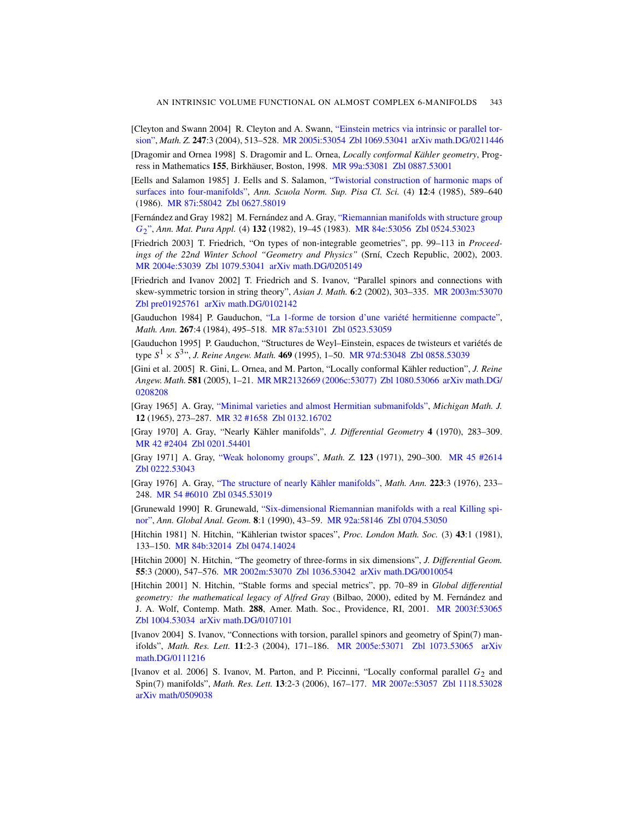- <span id="page-21-13"></span><span id="page-21-11"></span><span id="page-21-10"></span>[\[Cleyton and Sw](http://www.emis.de/cgi-bin/MATH-item?0627.58019)ann 2004] R. Cleyton and A. Swann, "Einstein metrics via intrinsic or parallel torsion", *Math. Z.* 247:3 (2004), 513–528. [MR 2005i:53054](http://dx.doi.org/10.1007/BF01760975) Zbl 1069.53041 arXiv math.DG/0211446
- <span id="page-21-3"></span>[Dragomir and Ornea 1998] S. [Dragomir and L.](http://www.ams.org/mathscinet-getitem?mr=84e:53056) Ornea, *[Locally co](http://www.emis.de/cgi-bin/MATH-item?0524.53023)nformal Kähler geometry*, Progress in Mathematics 155, Birkhäuser, Boston, 1998. MR 99a:53081 Zbl 0887.53001
- [Eells and Salamon 1985] J. Eells and S. Salamon, "Twistorial construction of harmonic maps of [surfaces](http://www.emis.de/cgi-bin/MATH-item?1079.53041) [into four-manifolds",](http://arxiv.org/abs/math.DG/0205149) *Ann. Scuola Norm. Sup. Pisa Cl. Sci.* (4) 12:4 (1985), 589–640 (1986). MR 87i:58042 Zbl 0627.58019
- <span id="page-21-2"></span>[Fernández and Gray 1982] M. Fernández and A. Gray, ["Riemannian man](http://www.ams.org/mathscinet-getitem?mr=2003m:53070)ifolds with structure group *G*2", *[Ann. Mat. P](http://arxiv.org/abs/math.DG/0102142)ura Appl.* (4) 132 (1982), 19–45 (1983). MR 84e:53056 Zbl 0524.53023
- <span id="page-21-12"></span>[Friedrich 2003] [T. Friedrich, "On types of non-integrable geometries"](http://dx.doi.org/10.1007/BF01455968), pp. 99–113 in *Proceedings of t[he 22nd Winter](http://www.ams.org/mathscinet-getitem?mr=87a:53101) [School "Geomet](http://www.emis.de/cgi-bin/MATH-item?0523.53059)ry and Physics"* (Srní, Czech Republic, 2002), 2003. MR 2004e:53039 Zbl 1079.53041 arXiv math.DG/0205149
- [Friedrich and Ivanov 2002] T[. Friedrich and](http://www.ams.org/mathscinet-getitem?mr=97d:53048) [S. Ivanov, "Para](http://www.emis.de/cgi-bin/MATH-item?0858.53039)llel spinors and connections with skew-symmetric torsion in string theory", *Asian J. Math.* 6:2 (2002), 303–335. MR 2003m:53070 Zbl pre01925761 [arXiv math.DG/010](http://www.ams.org/mathscinet-getitem?mr=MR2132669 (2006c:53077))[2142](http://www.emis.de/cgi-bin/MATH-item?1080.53066)
- <span id="page-21-4"></span>[Gauduchon 1984] P. Gauduchon, "La 1-forme de torsion d'une variété hermitienne compacte", *Math. Ann.* 267[:4 \(1984\), 495–518.](http://projecteuclid.org/getRecord?id=euclid.mmj/1028999364) MR 87a:53101 Zbl 0523.53059
- <span id="page-21-5"></span>[\[Gauducho](http://www.ams.org/mathscinet-getitem?mr=32:1658)n 1995] [P. Gaud](http://www.emis.de/cgi-bin/MATH-item?0132.16702)uchon, "Structures de Weyl–Einstein, espaces de twisteurs et variétés de type *S* <sup>1</sup> × *S* 3 ", *J. Reine Angew. Math.* 469 (1995), 1–50. MR 97d:53048 Zbl 0858.53039
- <span id="page-21-6"></span>[\[Gini e](http://www.emis.de/cgi-bin/MATH-item?0201.54401)t al. 2005] R. Gini, L. Ornea, and M. Parton, "Locally conformal Kähler reduction", *J. Reine [Angew. Math.](http://dx.doi.org/10.1007/BF01109983)* 581 (2005), 1–21. MR MR2132669 (2006c[:53077\)](http://www.ams.org/mathscinet-getitem?mr=45:2614) Zbl 1080.53066 arXiv math.DG/ 0208208
- <span id="page-21-7"></span>[Gray 1965] A. Gray, ["Minimal varietie](http://dx.doi.org/10.1007/BF01360955)s and almost Hermitian submanifolds", *Michigan Math. J.* 12 [\(1965\),](http://www.emis.de/cgi-bin/MATH-item?0345.53019) 273–287. MR 32 #1658 Zbl 0132.16702
- <span id="page-21-8"></span>[Gray 1970] [A. Gray, "Nearly Kähler manifolds",](http://dx.doi.org/10.1007/BF00055017) *J. Differential Geometry* 4 (1970), 283–309. MR 42 #2404 Zbl 0201[.54401](http://www.ams.org/mathscinet-getitem?mr=92a:58146)
- <span id="page-21-14"></span>[Gray 1971] A. Gray, "Weak holonomy groups", *Math. Z.* 123 (1971), 290–300. MR 45 #2614 [Zbl 0222.53043](http://www.emis.de/cgi-bin/MATH-item?0474.14024)
- <span id="page-21-0"></span>[Gray 1976] A. Gray, "The structure of nearly Kähler manifolds", *Math. Ann.* 223:3 (1976), 233– 248. [MR 54 #60](http://www.ams.org/mathscinet-getitem?mr=2002m:53070)10 [Zbl 0345.53](http://www.emis.de/cgi-bin/MATH-item?1036.53042)[019](http://arxiv.org/abs/math.DG/0010054)
- <span id="page-21-1"></span>[Grunewald 1990] R. Grunewald, "Six-dimensional Riemannian manifolds with a real Killing spinor", *Ann. Global Anal. Geom.* 8:1 (1990), 43–59. MR 92a:58146 Zbl 0704.53050
- [Hitchin 1981] N. Hitchin, "Kählerian twistor spaces", *[Proc. London M](http://www.ams.org/mathscinet-getitem?mr=2003f:53065)ath. Soc.* (3) 43:1 (1981), [133–150.](http://arxiv.org/abs/math.DG/0107101) MR 84b:32014 Zbl 0474.14024
- [Hitchin 2000] N. Hitchin, "The geometry of three-forms in six dimensions", *J. Differential Geom.* 55:3 (2000), 547–576. MR [2002m:53070](http://www.ams.org/mathscinet-getitem?mr=2005e:53071) Zbl [1036.53042](http://www.emis.de/cgi-bin/MATH-item?1073.53065) arXiv [math.D](http://arxiv.org/abs/math.DG/0111216)G/0010054
- <span id="page-21-9"></span>[Hitchin 2001] N. Hitchin, "Stable forms and special metrics", pp. 70–89 in *Global differential geometry: the mathematical legacy of Alfred Gray* (Bilbao, 2000), edited by M. Fernández and J. A. Wolf, Contemp. Math. 288, [Amer. Math. Soc.,](http://www.ams.org/mathscinet-getitem?mr=2007e:53057) [Providence, RI,](http://www.emis.de/cgi-bin/MATH-item?1118.53028) 2001. MR 2003f:53065 Zbl 1004.53034 arXiv math.DG/0107101
- [Ivanov 2004] S. Ivanov, "Connections with torsion, parallel spinors and geometry of Spin(7) manifolds", *Math. Res. Lett.* 11:2-3 (2004), 171–186. MR 2005e:53071 Zbl 1073.53065 arXiv math.DG/0111216
- [Ivanov et al. 2006] S. Ivanov, M. Parton, and P. Piccinni, "Locally conformal parallel  $G_2$  and Spin(7) manifolds", *Math. Res. Lett.* 13:2-3 (2006), 167–177. MR 2007e:53057 Zbl 1118.53028 arXiv math/0509038